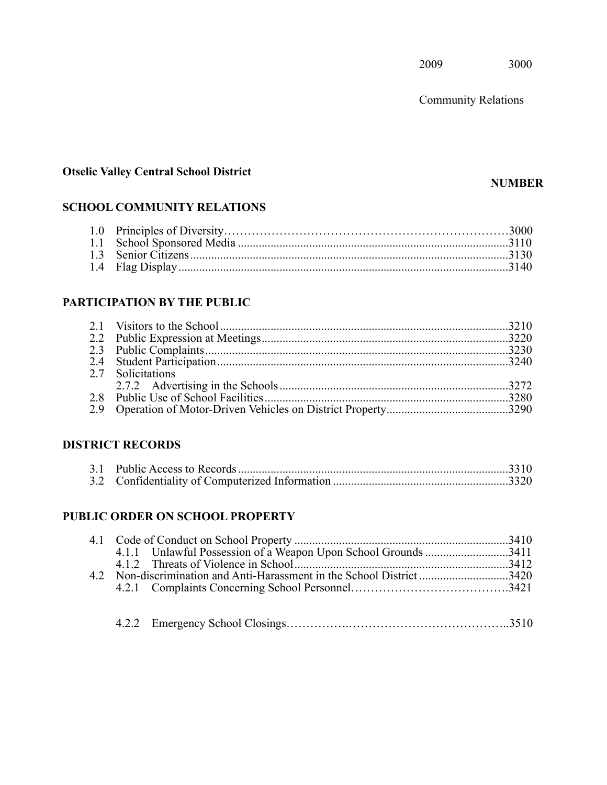Community Relations

## **Otselic Valley Central School District**

#### **NUMBER**

## **SCHOOL COMMUNITY RELATIONS**

## **PARTICIPATION BY THE PUBLIC**

| 2.7 Solicitations |  |
|-------------------|--|
|                   |  |
|                   |  |
|                   |  |

## **DISTRICT RECORDS**

## **PUBLIC ORDER ON SCHOOL PROPERTY**

|--|--|--|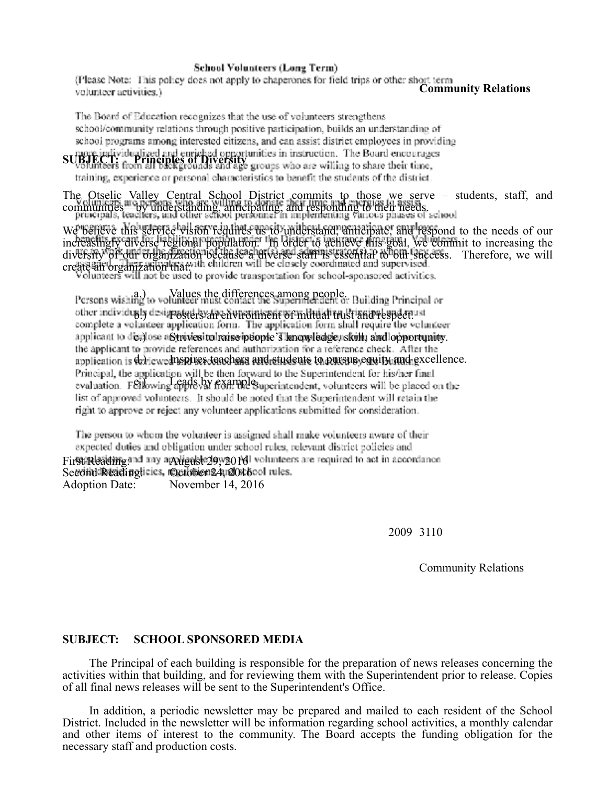#### **School Volunteers (Long Term)**

 .alS pOb~. t appl}• t .. h!peronc~ for 11 I tnp l r 0th! :· sh • '.crr.1 volunteer activities.) **Community Relations** 

The Board of Education recognizes that the use of volunteers strengthens school/community relations through positive participation, builds an understanding of school programs among interested citizens, and can assist district employees in providing nore individualized and euriched opportunities in instruction. The Board encourages

**SUBJECT: Principles of Diversity** *unities in insurfaction***. The Board encourage.<br>Volunteers from all backgrounds and age groups who are willing to share their time,** training, experience or personal characteristics to benefit the students of the district.

The Otselic Valley Central School District commits to those we serve – students, staff, and communities—by understanding, anticipating, and responding to their needs.

We believe this service vision requires us to understand, anticipate, and respond to the needs of our increasingly diverse regional population. In order to achieve this goal, we commit to increasing the diversity of our organization because a diverse staff is essential to our success. Therefore, we will create an organization that:

Persons wishing to volunteer must contact the Superimendent or Building Principal or other individualy designated syalve hurrominent of multilal trust and respect and redundeer<br>complete a volunteer application form. The application form shall require the volunteer applicant to dicalose aStrivies to haise indopte's knowledge, skill, and lopportunity. the applicant to provide references and authorization for a reference check. After the application is delicwedness teachers and estudents to pursue equity and excellence.

Principal, the application will be then forward to the Superintendent for his/her final<br>evaluation. Fellowing apple.by example. Superintendent, volunteers will be placed on the list of approved volunteers. It should be noted that the Superintendent will retain the right to approve or reject any volunteer applications submitted for consideration.

The person to whom the volunteer is assigned shall make volunteers aware of their expected duties and obligation under school rules, relevant district policies and Fir**st Reading** and any appli**gast 29, 2016** volunteers are required to act in accordance 1 *isa reading*:<br>Second Readinglicies, @ctober 24, 2016 Adoption Date: November 14, 2016

2009 3110

Community Relations

#### **SUBJECT: SCHOOL SPONSORED MEDIA**

The Principal of each building is responsible for the preparation of news releases concerning the activities within that building, and for reviewing them with the Superintendent prior to release. Copies of all final news releases will be sent to the Superintendent's Office.

In addition, a periodic newsletter may be prepared and mailed to each resident of the School District. Included in the newsletter will be information regarding school activities, a monthly calendar and other items of interest to the community. The Board accepts the funding obligation for the necessary staff and production costs.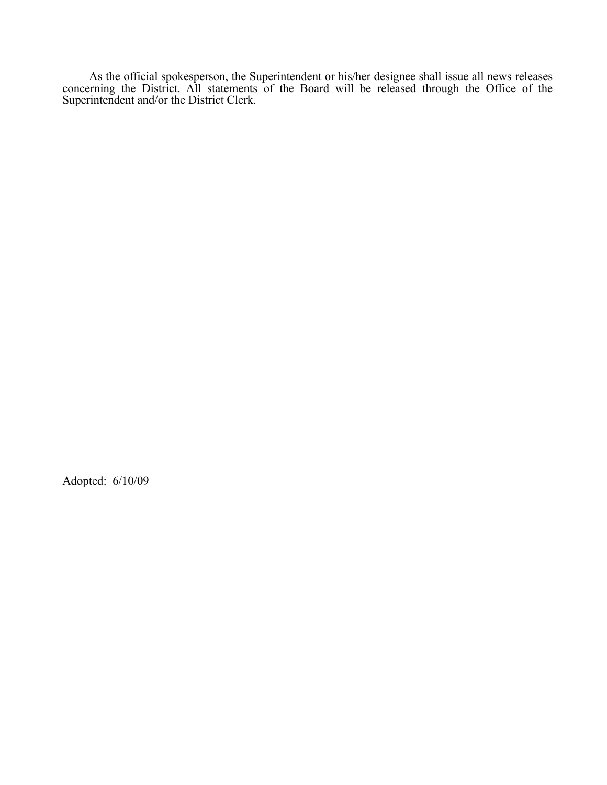As the official spokesperson, the Superintendent or his/her designee shall issue all news releases concerning the District. All statements of the Board will be released through the Office of the Superintendent and/or the District Clerk.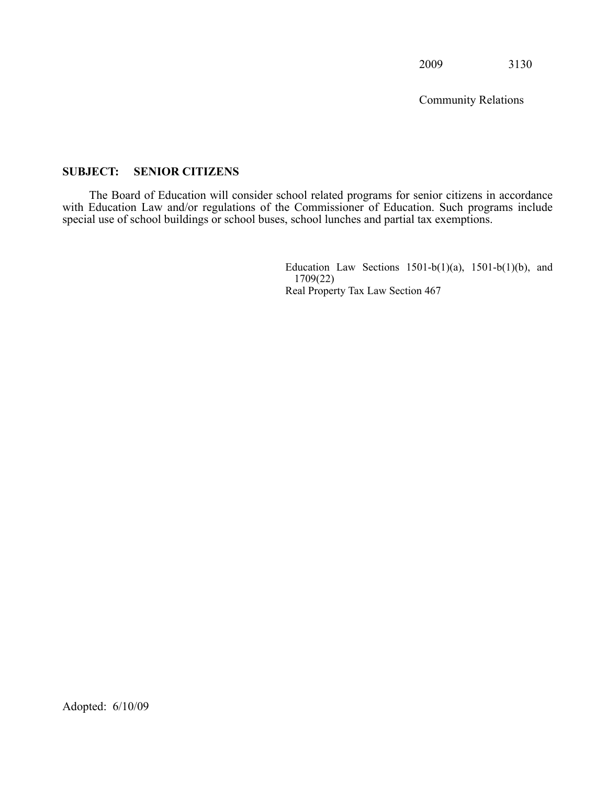Community Relations

#### <span id="page-4-0"></span>**SUBJECT: SENIOR CITIZENS**

 with Education Law and/or regulations of the Commissioner of Education. Such programs include The Board of Education will consider school related programs for senior citizens in accordance special use of school buildings or school buses, school lunches and partial tax exemptions.

> Education Law Sections  $1501-b(1)(a)$ ,  $1501-b(1)(b)$ , and 1709(22) Real Property Tax Law Section 467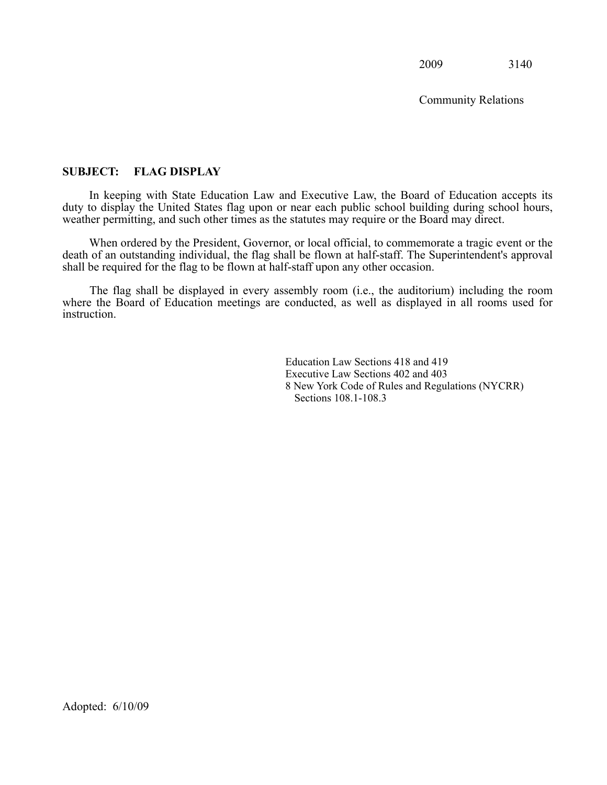Community Relations

#### <span id="page-5-0"></span>**SUBJECT: FLAG DISPLAY**

 In keeping with State Education Law and Executive Law, the Board of Education accepts its duty to display the United States flag upon or near each public school building during school hours, weather permitting, and such other times as the statutes may require or the Board may direct.

 When ordered by the President, Governor, or local official, to commemorate a tragic event or the death of an outstanding individual, the flag shall be flown at half-staff. The Superintendent's approval shall be required for the flag to be flown at half-staff upon any other occasion.

 where the Board of Education meetings are conducted, as well as displayed in all rooms used for The flag shall be displayed in every assembly room (i.e., the auditorium) including the room instruction.

> Education Law Sections 418 and 419 Executive Law Sections 402 and 403 8 New York Code of Rules and Regulations (NYCRR) Sections 108.1-108.3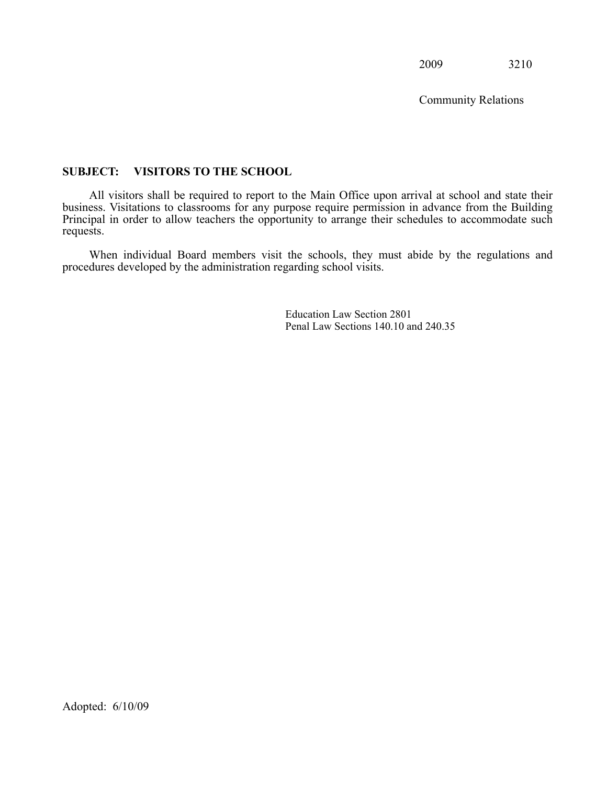Community Relations

#### <span id="page-6-0"></span> **SUBJECT: VISITORS TO THE SCHOOL**

 All visitors shall be required to report to the Main Office upon arrival at school and state their business. Visitations to classrooms for any purpose require permission in advance from the Building Principal in order to allow teachers the opportunity to arrange their schedules to accommodate such requests.

 When individual Board members visit the schools, they must abide by the regulations and procedures developed by the administration regarding school visits.

> Education Law Section 2801 Penal Law Sections 140.10 and 240.35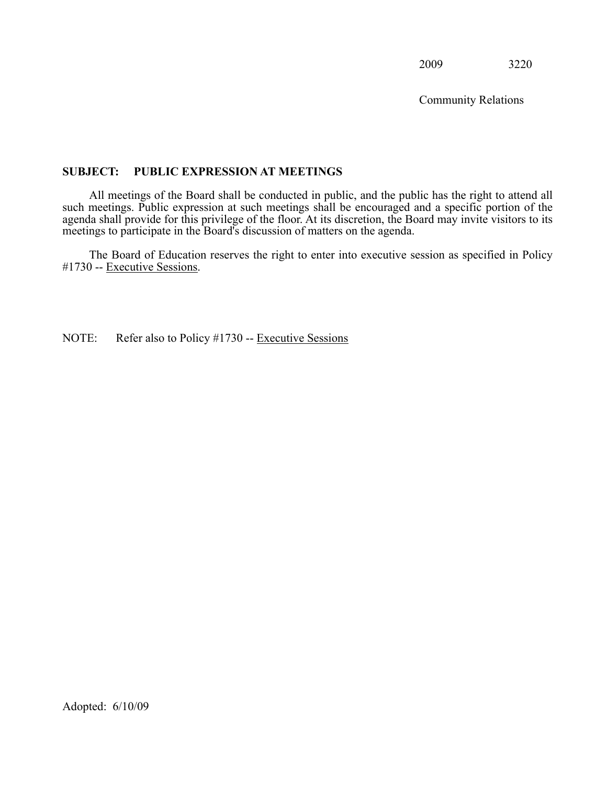Community Relations

#### <span id="page-7-0"></span>**SUBJECT: PUBLIC EXPRESSION AT MEETINGS**

 All meetings of the Board shall be conducted in public, and the public has the right to attend all such meetings. Public expression at such meetings shall be encouraged and a specific portion of the agenda shall provide for this privilege of the floor. At its discretion, the Board may invite visitors to its meetings to participate in the Board's discussion of matters on the agenda.

 The Board of Education reserves the right to enter into executive session as specified in Policy #1730 -- Executive Sessions.

NOTE: Refer also to Policy #1730 -- Executive Sessions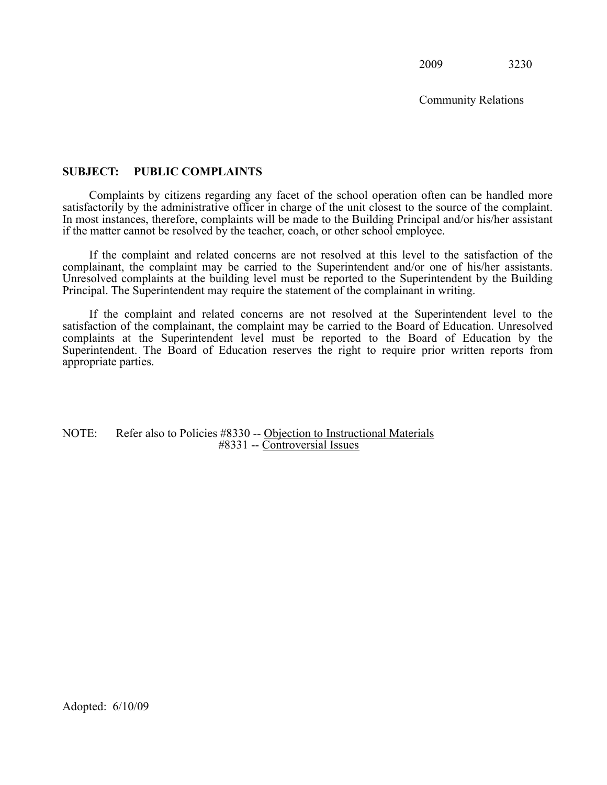Community Relations

#### <span id="page-8-0"></span>**SUBJECT: PUBLIC COMPLAINTS**

 Complaints by citizens regarding any facet of the school operation often can be handled more satisfactorily by the administrative officer in charge of the unit closest to the source of the complaint. In most instances, therefore, complaints will be made to the Building Principal and/or his/her assistant if the matter cannot be resolved by the teacher, coach, or other school employee.

 If the complaint and related concerns are not resolved at this level to the satisfaction of the complainant, the complaint may be carried to the Superintendent and/or one of his/her assistants. Unresolved complaints at the building level must be reported to the Superintendent by the Building Principal. The Superintendent may require the statement of the complainant in writing.

 If the complaint and related concerns are not resolved at the Superintendent level to the satisfaction of the complainant, the complaint may be carried to the Board of Education. Unresolved complaints at the Superintendent level must be reported to the Board of Education by the Superintendent. The Board of Education reserves the right to require prior written reports from appropriate parties.

NOTE: Refer also to Policies #8330 -- Objection to Instructional Materials #8331 -- Controversial Issues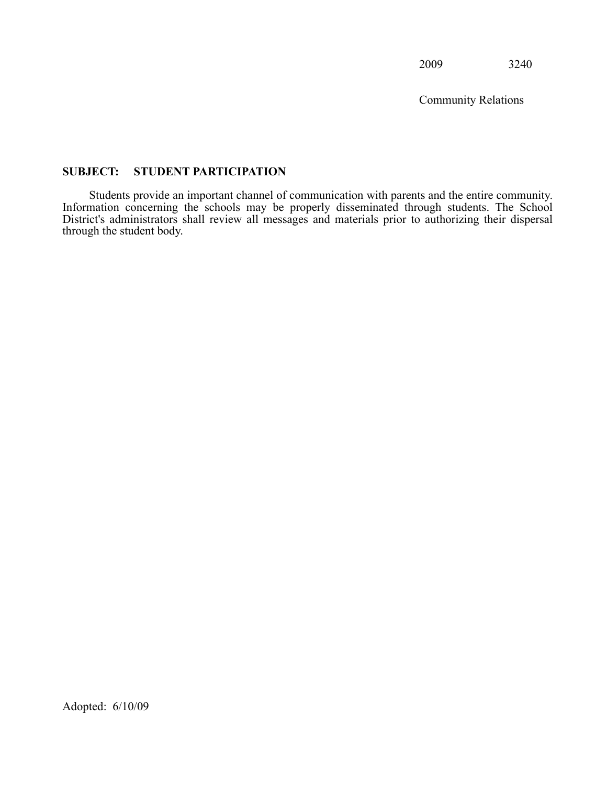Community Relations

#### <span id="page-9-0"></span>**SUBJECT: STUDENT PARTICIPATION**

Ī District's administrators shall review all messages and materials prior to authorizing their dispersal Students provide an important channel of communication with parents and the entire community. Information concerning the schools may be properly disseminated through students. The School through the student body.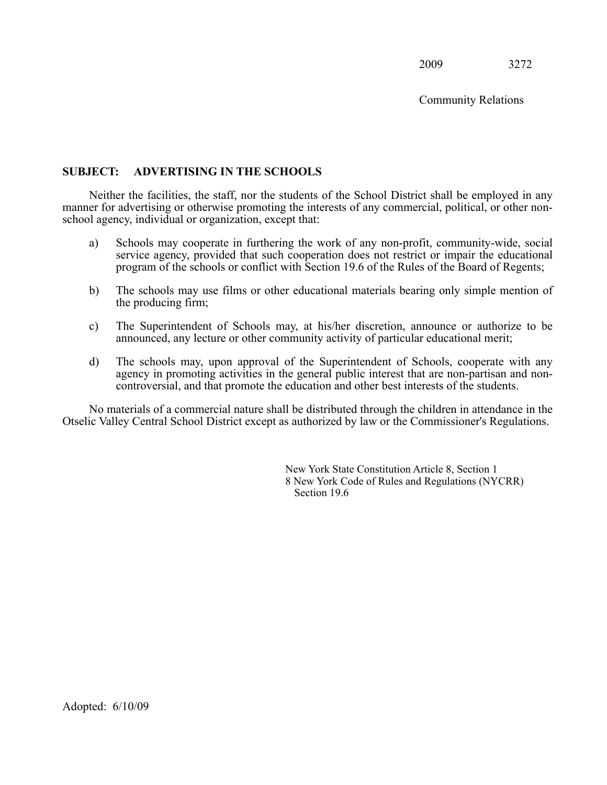Community Relations

#### <span id="page-10-0"></span>**SUBJECT: ADVERTISING IN THE SCHOOLS**

 Neither the facilities, the staff, nor the students of the School District shall be employed in any manner for advertising or otherwise promoting the interests of any commercial, political, or other nonschool agency, individual or organization, except that:

- service agency, provided that such cooperation does not restrict or impair the educational a) Schools may cooperate in furthering the work of any non-profit, community-wide, social program of the schools or conflict with Section 19.6 of the Rules of the Board of Regents;
- b) The schools may use films or other educational materials bearing only simple mention of the producing firm;
- the producing firm;<br>
c) The Superintendent of Schools may, at his/her discretion, announce or authorize to be announced, any lecture or other community activity of particular educational merit;
- d) The schools may, upon approval of the Superintendent of Schools, cooperate with any agency in promoting activities in the general public interest that are non-partisan and noncontroversial, and that promote the education and other best interests of the students.

 No materials of a commercial nature shall be distributed through the children in attendance in the Otselic Valley Central School District except as authorized by law or the Commissioner's Regulations.

> New York State Constitution Article 8, Section 1 8 New York Code of Rules and Regulations (NYCRR) Section 19.6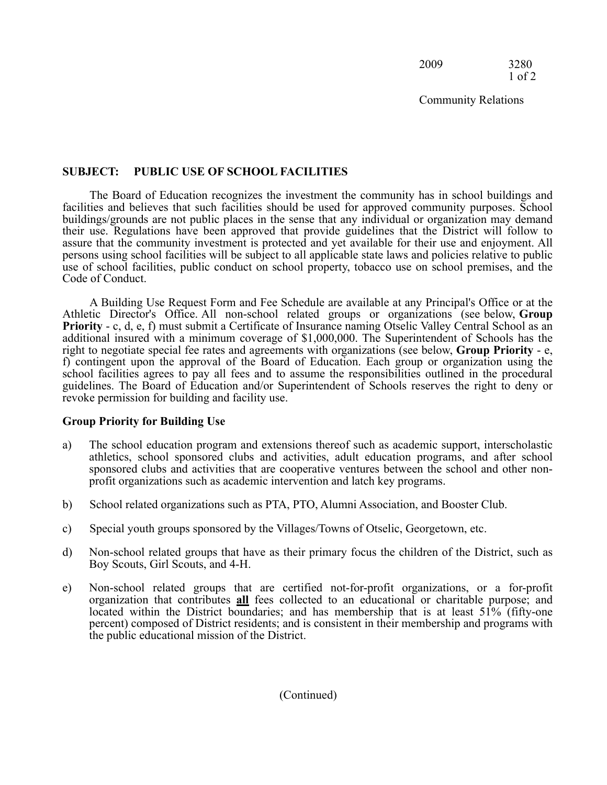2009 3280 1 of 2

Community Relations

#### **SUBJECT: PUBLIC USE OF SCHOOL FACILITIES**

The Board of Education recognizes the investment the community has in school buildings and facilities and believes that such facilities should be used for approved community purposes. School buildings/grounds are not public places in the sense that any individual or organization may demand their use. Regulations have been approved that provide guidelines that the District will follow to assure that the community investment is protected and yet available for their use and enjoyment. All persons using school facilities will be subject to all applicable state laws and policies relative to public use of school facilities, public conduct on school property, tobacco use on school premises, and the Code of Conduct.

 Athletic Director's Office. All non-school related groups or organizations (see below, **Group**  A Building Use Request Form and Fee Schedule are available at any Principal's Office or at the **Priority** - c, d, e, f) must submit a Certificate of Insurance naming Otselic Valley Central School as an additional insured with a minimum coverage of \$1,000,000. The Superintendent of Schools has the right to negotiate special fee rates and agreements with organizations (see below, **Group Priority** - e, f) contingent upon the approval of the Board of Education. Each group or organization using the school facilities agrees to pay all fees and to assume the responsibilities outlined in the procedural guidelines. The Board of Education and/or Superintendent of Schools reserves the right to deny or revoke permission for building and facility use.

#### **Group Priority for Building Use**

- a) The school education program and extensions thereof such as academic support, interscholastic athletics, school sponsored clubs and activities, adult education programs, and after school sponsored clubs and activities that are cooperative ventures between the school and other nonprofit organizations such as academic intervention and latch key programs.
- b) School related organizations such as PTA, PTO, Alumni Association, and Booster Club.
- c) Special youth groups sponsored by the Villages/Towns of Otselic, Georgetown, etc.
- d) Non-school related groups that have as their primary focus the children of the District, such as Boy Scouts, Girl Scouts, and 4-H.
- organization that contributes **all** fees collected to an educational or charitable purpose; and located within the District houndaries: and has mombership that is at locat 51% (fifty one) e) Non-school related groups that are certified not-for-profit organizations, or a for-profit located within the District boundaries; and has membership that is at least 51% (fifty-one percent) composed of District residents; and is consistent in their membership and programs with the public educational mission of the District.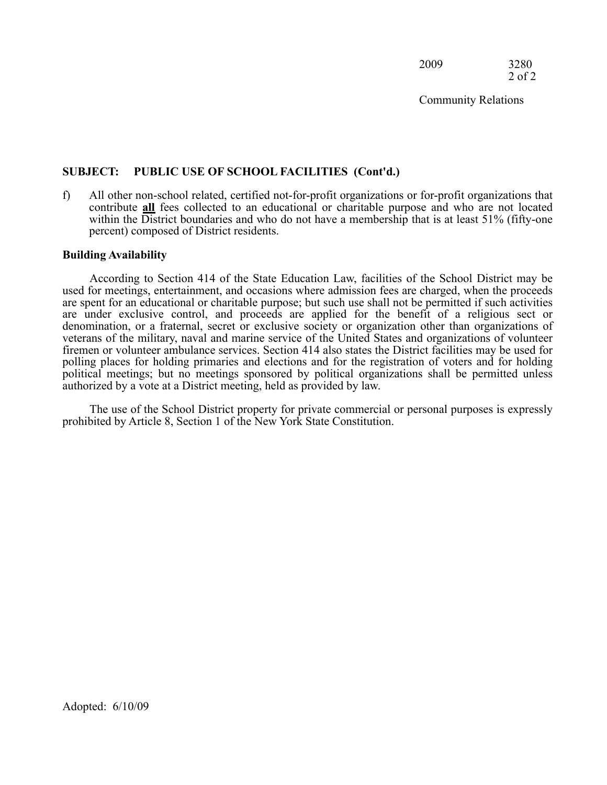2009 3280 2 of 2

Community Relations

#### **SUBJECT: PUBLIC USE OF SCHOOL FACILITIES (Cont'd.)**

contribute **all** fees collected to an educational or charitable purpose and who are not located<br>within the District boundaries and who do not have a membership that is at locat 51% (fifty one) f) All other non-school related, certified not-for-profit organizations or for-profit organizations that within the District boundaries and who do not have a membership that is at least 51% (fifty-one percent) composed of District residents.

#### **Building Availability**

According to Section 414 of the State Education Law, facilities of the School District may be used for meetings, entertainment, and occasions where admission fees are charged, when the proceeds are spent for an educational or charitable purpose; but such use shall not be permitted if such activities are under exclusive control, and proceeds are applied for the benefit of a religious sect or denomination, or a fraternal, secret or exclusive society or organization other than organizations of veterans of the military, naval and marine service of the United States and organizations of volunteer firemen or volunteer ambulance services. Section 414 also states the District facilities may be used for polling places for holding primaries and elections and for the registration of voters and for holding political meetings; but no meetings sponsored by political organizations shall be permitted unless authorized by a vote at a District meeting, held as provided by law.

The use of the School District property for private commercial or personal purposes is expressly prohibited by Article 8, Section 1 of the New York State Constitution.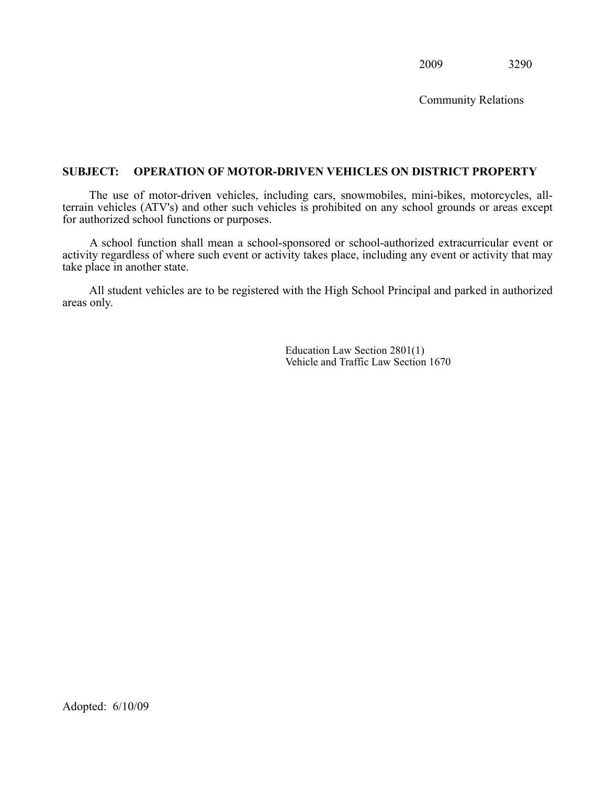Community Relations

#### <span id="page-13-0"></span>**SUBJECT: OPERATION OF MOTOR-DRIVEN VEHICLES ON DISTRICT PROPERTY**

 The use of motor-driven vehicles, including cars, snowmobiles, mini-bikes, motorcycles, all- terrain vehicles (ATV's) and other such vehicles is prohibited on any school grounds or areas except for authorized school functions or purposes.

 activity regardless of where such event or activity takes place, including any event or activity that may A school function shall mean a school-sponsored or school-authorized extracurricular event or take place in another state.

 All student vehicles are to be registered with the High School Principal and parked in authorized areas only.

> Education Law Section 2801(1) Vehicle and Traffic Law Section 1670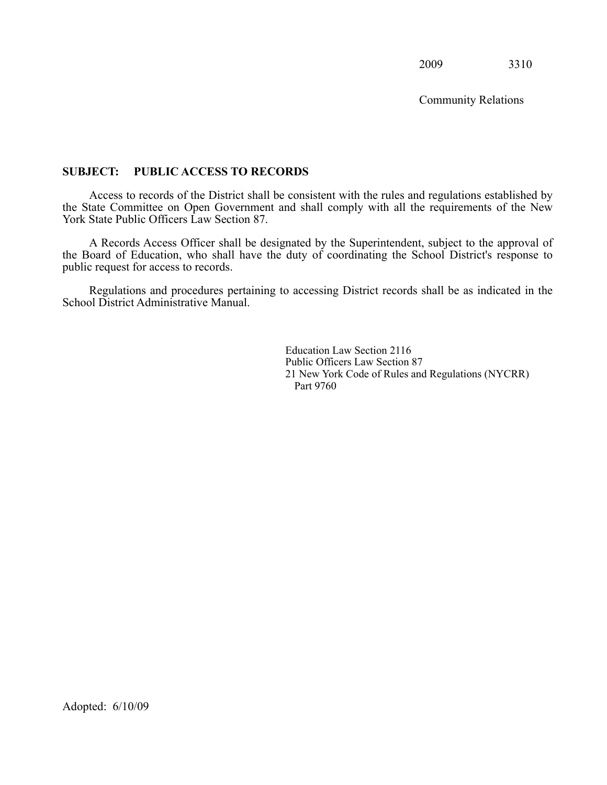Community Relations

#### <span id="page-14-0"></span> **SUBJECT: PUBLIC ACCESS TO RECORDS**

 Access to records of the District shall be consistent with the rules and regulations established by the State Committee on Open Government and shall comply with all the requirements of the New York State Public Officers Law Section 87.

 A Records Access Officer shall be designated by the Superintendent, subject to the approval of the Board of Education, who shall have the duty of coordinating the School District's response to public request for access to records.

 Regulations and procedures pertaining to accessing District records shall be as indicated in the School District Administrative Manual.

> Education Law Section 2116 Public Officers Law Section 87 21 New York Code of Rules and Regulations (NYCRR) Part 9760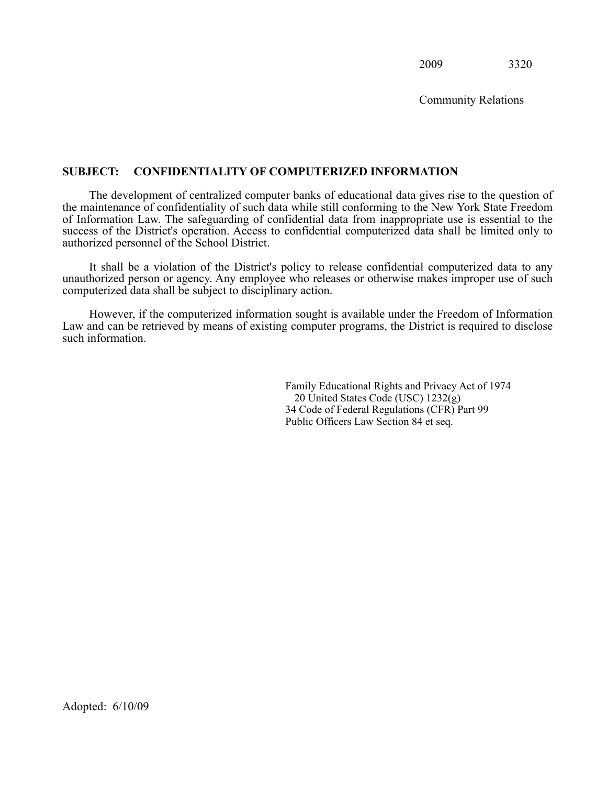Community Relations

#### <span id="page-15-0"></span>**SUBJECT: CONFIDENTIALITY OF COMPUTERIZED INFORMATION**

 The development of centralized computer banks of educational data gives rise to the question of the maintenance of confidentiality of such data while still conforming to the New York State Freedom of Information Law. The safeguarding of confidential data from inappropriate use is essential to the success of the District's operation. Access to confidential computerized data shall be limited only to authorized personnel of the School District.

 It shall be a violation of the District's policy to release confidential computerized data to any unauthorized person or agency. Any employee who releases or otherwise makes improper use of such computerized data shall be subject to disciplinary action.

 However, if the computerized information sought is available under the Freedom of Information Law and can be retrieved by means of existing computer programs, the District is required to disclose such information.

> Family Educational Rights and Privacy Act of 1974 20 United States Code (USC) 1232(g) 34 Code of Federal Regulations (CFR) Part 99 Public Officers Law Section 84 et seq.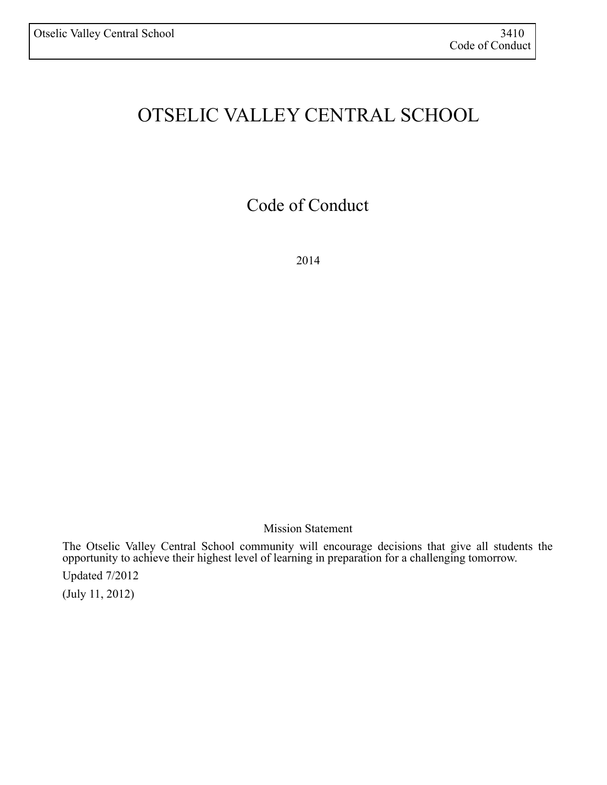## OTSELIC VALLEY CENTRAL SCHOOL

Code of Conduct

2014

Mission Statement

 The Otselic Valley Central School community will encourage decisions that give all students the opportunity to achieve their highest level of learning in preparation for a challenging tomorrow.

Updated 7/2012

(July 11, 2012)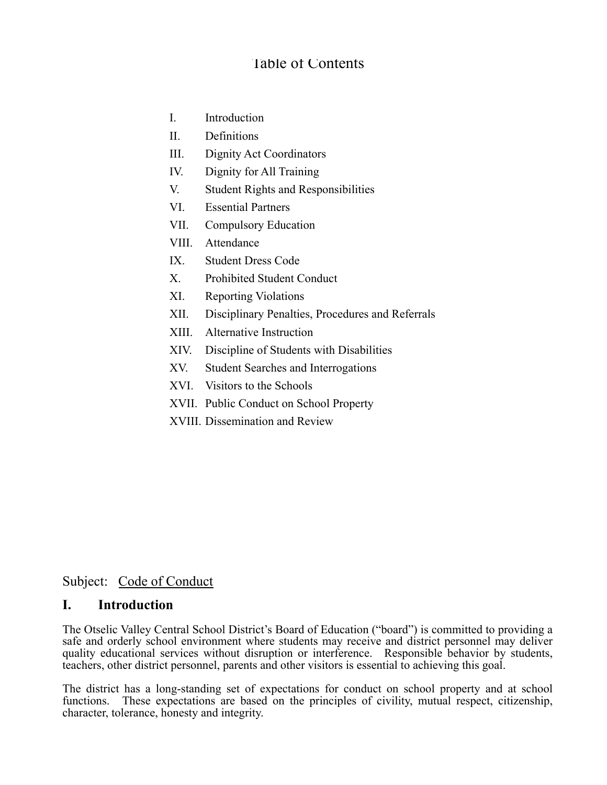## Table of Contents

- I. Introduction
- II. Definitions
- III. Dignity Act Coordinators
- IV. Dignity for All Training
- V. Student Rights and Responsibilities
- VI. Essential Partners
- VII. Compulsory Education
- VIII. Attendance
- IX. Student Dress Code
- X. Prohibited Student Conduct
- XI. Reporting Violations
- XII. Disciplinary Penalties, Procedures and Referrals
- XIII. Alternative Instruction
- XIV. Discipline of Students with Disabilities
- XV. Student Searches and Interrogations
- XVI. Visitors to the Schools
- XVII. Public Conduct on School Property
- XVIII. Dissemination and Review

## Subject: Code of Conduct

## **I. Introduction**

 The Otselic Valley Central School District's Board of Education ("board") is committed to providing a safe and orderly school environment where students may receive and district personnel may deliver quality educational services without disruption or interference. Responsible behavior by students, teachers, other district personnel, parents and other visitors is essential to achieving this goal.

 The district has a long-standing set of expectations for conduct on school property and at school functions. These expectations are based on the principles of civility, mutual respect, citizenship, character, tolerance, honesty and integrity.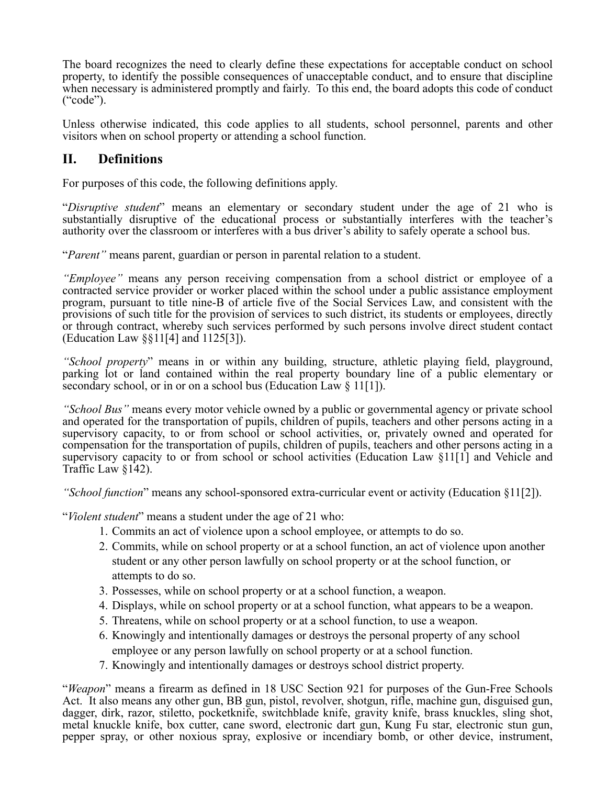The board recognizes the need to clearly define these expectations for acceptable conduct on school property, to identify the possible consequences of unacceptable conduct, and to ensure that discipline when necessary is administered promptly and fairly. To this end, the board adopts this code of conduct ("code").

 Unless otherwise indicated, this code applies to all students, school personnel, parents and other visitors when on school property or attending a school function.

## **II. Definitions**

For purposes of this code, the following definitions apply.

 "*Disruptive student*" means an elementary or secondary student under the age of 21 who is substantially disruptive of the educational process or substantially interferes with the teacher's authority over the classroom or interferes with a bus driver's ability to safely operate a school bus.

"*Parent"* means parent, guardian or person in parental relation to a student.

 *"Employee"* means any person receiving compensation from a school district or employee of a contracted service provider or worker placed within the school under a public assistance employment program, pursuant to title nine-B of article five of the Social Services Law, and consistent with the provisions of such title for the provision of services to such district, its students or employees, directly or through contract, whereby such services performed by such persons involve direct student contact (Education Law §§11[4] and 1125[3]).

 *"School property*" means in or within any building, structure, athletic playing field, playground, parking lot or land contained within the real property boundary line of a public elementary or secondary school, or in or on a school bus (Education Law § 11[1]).

"School Bus" means every motor vehicle owned by a public or governmental agency or private school and operated for the transportation of pupils, children of pupils, teachers and other persons acting in a Ī supervisory capacity to or from school or school activities (Education Law §11[1] and Vehicle and supervisory capacity, to or from school or school activities, or, privately owned and operated for compensation for the transportation of pupils, children of pupils, teachers and other persons acting in a Traffic Law §142).

*"School function*" means any school-sponsored extra-curricular event or activity (Education §11[2]).

"*Violent student*" means a student under the age of 21 who:

- 1. Commits an act of violence upon a school employee, or attempts to do so.
- 2. Commits, while on school property or at a school function, an act of violence upon another student or any other person lawfully on school property or at the school function, or attempts to do so.
- 3. Possesses, while on school property or at a school function, a weapon.
- 4. Displays, while on school property or at a school function, what appears to be a weapon.
- 5. Threatens, while on school property or at a school function, to use a weapon.
- 6. Knowingly and intentionally damages or destroys the personal property of any school employee or any person lawfully on school property or at a school function.
- 7. Knowingly and intentionally damages or destroys school district property.

 "*Weapon*" means a firearm as defined in 18 USC Section 921 for purposes of the Gun-Free Schools Act. It also means any other gun, BB gun, pistol, revolver, shotgun, rifle, machine gun, disguised gun, metal knuckle knife, box cutter, cane sword, electronic dart gun, Kung Fu star, electronic stun gun, dagger, dirk, razor, stiletto, pocketknife, switchblade knife, gravity knife, brass knuckles, sling shot, pepper spray, or other noxious spray, explosive or incendiary bomb, or other device, instrument,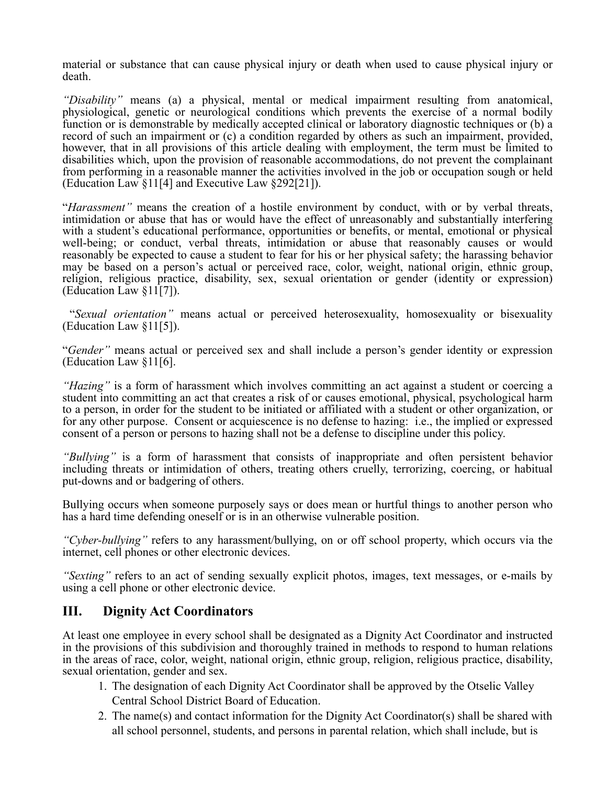material or substance that can cause physical injury or death when used to cause physical injury or death.

 *"Disability"* means (a) a physical, mental or medical impairment resulting from anatomical, physiological, genetic or neurological conditions which prevents the exercise of a normal bodily function or is demonstrable by medically accepted clinical or laboratory diagnostic techniques or (b) a record of such an impairment or (c) a condition regarded by others as such an impairment, provided, however, that in all provisions of this article dealing with employment, the term must be limited to disabilities which, upon the provision of reasonable accommodations, do not prevent the complainant from performing in a reasonable manner the activities involved in the job or occupation sough or held (Education Law §11[4] and Executive Law §292[21]).

 "*Harassment"* means the creation of a hostile environment by conduct, with or by verbal threats, intimidation or abuse that has or would have the effect of unreasonably and substantially interfering with a student's educational performance, opportunities or benefits, or mental, emotional or physical well-being; or conduct, verbal threats, intimidation or abuse that reasonably causes or would reasonably be expected to cause a student to fear for his or her physical safety; the harassing behavior may be based on a person's actual or perceived race, color, weight, national origin, ethnic group, religion, religious practice, disability, sex, sexual orientation or gender (identity or expression) (Education Law §11[7]).

 "*Sexual orientation"* means actual or perceived heterosexuality, homosexuality or bisexuality (Education Law §11[5]).

 "*Gender"* means actual or perceived sex and shall include a person's gender identity or expression (Education Law §11[6].

 *"Hazing"* is a form of harassment which involves committing an act against a student or coercing a student into committing an act that creates a risk of or causes emotional, physical, psychological harm to a person, in order for the student to be initiated or affiliated with a student or other organization, or for any other purpose. Consent or acquiescence is no defense to hazing: i.e., the implied or expressed consent of a person or persons to hazing shall not be a defense to discipline under this policy.

 *"Bullying"* is a form of harassment that consists of inappropriate and often persistent behavior Ī including threats or intimidation of others, treating others cruelly, terrorizing, coercing, or habitual put-downs and or badgering of others.

 Bullying occurs when someone purposely says or does mean or hurtful things to another person who has a hard time defending oneself or is in an otherwise vulnerable position.

 *"Cyber-bullying"* refers to any harassment/bullying, on or off school property, which occurs via the internet, cell phones or other electronic devices.

 *"Sexting"* refers to an act of sending sexually explicit photos, images, text messages, or e-mails by using a cell phone or other electronic device.

## **III. Dignity Act Coordinators**

 At least one employee in every school shall be designated as a Dignity Act Coordinator and instructed in the provisions of this subdivision and thoroughly trained in methods to respond to human relations in the areas of race, color, weight, national origin, ethnic group, religion, religious practice, disability, sexual orientation, gender and sex.

- 1. The designation of each Dignity Act Coordinator shall be approved by the Otselic Valley Central School District Board of Education.
- 2. The name(s) and contact information for the Dignity Act Coordinator(s) shall be shared with all school personnel, students, and persons in parental relation, which shall include, but is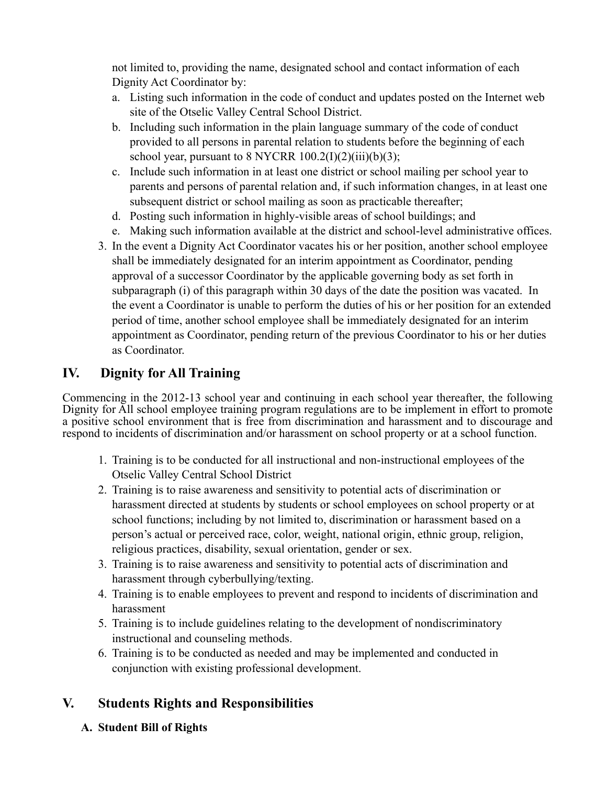not limited to, providing the name, designated school and contact information of each Dignity Act Coordinator by:

- a. Listing such information in the code of conduct and updates posted on the Internet web site of the Otselic Valley Central School District.
- b. Including such information in the plain language summary of the code of conduct provided to all persons in parental relation to students before the beginning of each school year, pursuant to 8 NYCRR  $100.2(I)(2)(iii)(b)(3)$ ;
- c. Include such information in at least one district or school mailing per school year to parents and persons of parental relation and, if such information changes, in at least one subsequent district or school mailing as soon as practicable thereafter;
- d. Posting such information in highly-visible areas of school buildings; and
- e. Making such information available at the district and school-level administrative offices.
- 3. In the event a Dignity Act Coordinator vacates his or her position, another school employee shall be immediately designated for an interim appointment as Coordinator, pending approval of a successor Coordinator by the applicable governing body as set forth in subparagraph (i) of this paragraph within 30 days of the date the position was vacated. In the event a Coordinator is unable to perform the duties of his or her position for an extended period of time, another school employee shall be immediately designated for an interim appointment as Coordinator, pending return of the previous Coordinator to his or her duties as Coordinator.

## **IV. Dignity for All Training**

 Dignity for All school employee training program regulations are to be implement in effort to promote a positive school environment that is free from discrimination and harassment and to discourage and Commencing in the 2012-13 school year and continuing in each school year thereafter, the following respond to incidents of discrimination and/or harassment on school property or at a school function.

- 1. Training is to be conducted for all instructional and non-instructional employees of the Otselic Valley Central School District
- 2. Training is to raise awareness and sensitivity to potential acts of discrimination or harassment directed at students by students or school employees on school property or at school functions; including by not limited to, discrimination or harassment based on a person's actual or perceived race, color, weight, national origin, ethnic group, religion, religious practices, disability, sexual orientation, gender or sex.
- 3. Training is to raise awareness and sensitivity to potential acts of discrimination and harassment through cyberbullying/texting.
- 4. Training is to enable employees to prevent and respond to incidents of discrimination and harassment
- 5. Training is to include guidelines relating to the development of nondiscriminatory instructional and counseling methods.
- 6. Training is to be conducted as needed and may be implemented and conducted in conjunction with existing professional development.

## **V. Students Rights and Responsibilities**

**A. Student Bill of Rights**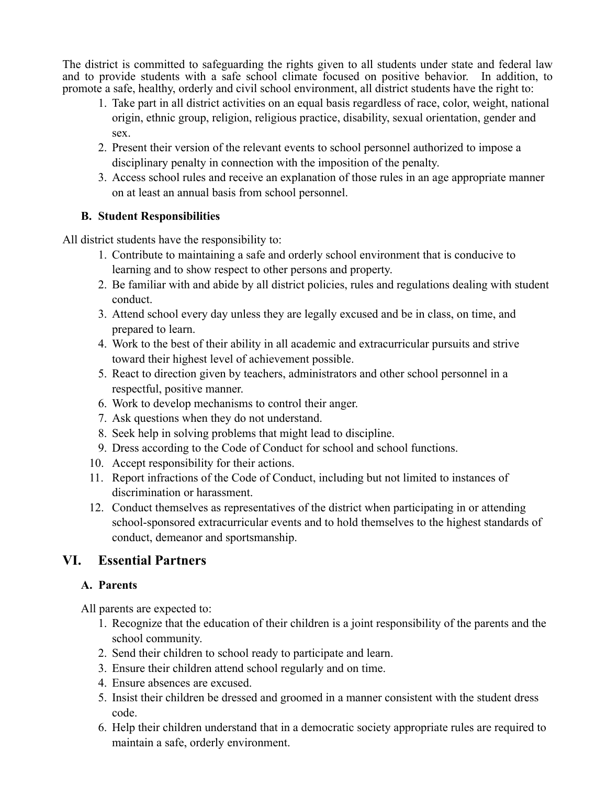The district is committed to safeguarding the rights given to all students under state and federal law and to provide students with a safe school climate focused on positive behavior. In addition, to promote a safe, healthy, orderly and civil school environment, all district students have the right to:

- 1. Take part in all district activities on an equal basis regardless of race, color, weight, national origin, ethnic group, religion, religious practice, disability, sexual orientation, gender and sex.
- 2. Present their version of the relevant events to school personnel authorized to impose a disciplinary penalty in connection with the imposition of the penalty.
- 3. Access school rules and receive an explanation of those rules in an age appropriate manner on at least an annual basis from school personnel.

## **B. Student Responsibilities**

All district students have the responsibility to:

- 1. Contribute to maintaining a safe and orderly school environment that is conducive to learning and to show respect to other persons and property.
- 2. Be familiar with and abide by all district policies, rules and regulations dealing with student conduct.
- 3. Attend school every day unless they are legally excused and be in class, on time, and prepared to learn.
- 4. Work to the best of their ability in all academic and extracurricular pursuits and strive toward their highest level of achievement possible.
- 5. React to direction given by teachers, administrators and other school personnel in a respectful, positive manner.
- 6. Work to develop mechanisms to control their anger.
- 7. Ask questions when they do not understand.
- 8. Seek help in solving problems that might lead to discipline.
- 9. Dress according to the Code of Conduct for school and school functions.
- 10. Accept responsibility for their actions.
- 11. Report infractions of the Code of Conduct, including but not limited to instances of discrimination or harassment.
- 12. Conduct themselves as representatives of the district when participating in or attending school-sponsored extracurricular events and to hold themselves to the highest standards of conduct, demeanor and sportsmanship.

## **VI. Essential Partners**

## **A. Parents**

All parents are expected to:

- 1. Recognize that the education of their children is a joint responsibility of the parents and the school community.
- 2. Send their children to school ready to participate and learn.
- 3. Ensure their children attend school regularly and on time.
- 4. Ensure absences are excused.
- 5. Insist their children be dressed and groomed in a manner consistent with the student dress code.
- 6. Help their children understand that in a democratic society appropriate rules are required to maintain a safe, orderly environment.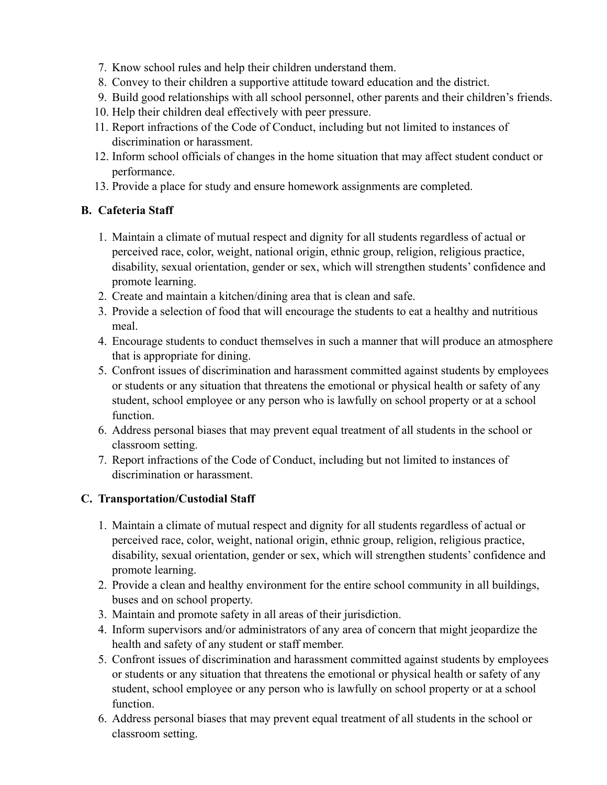- 7. Know school rules and help their children understand them.
- 8. Convey to their children a supportive attitude toward education and the district.
- 9. Build good relationships with all school personnel, other parents and their children's friends.
- 10. Help their children deal effectively with peer pressure.
- 11. Report infractions of the Code of Conduct, including but not limited to instances of discrimination or harassment.
- 12. Inform school officials of changes in the home situation that may affect student conduct or performance.
- 13. Provide a place for study and ensure homework assignments are completed.

## **B. Cafeteria Staff**

- 1. Maintain a climate of mutual respect and dignity for all students regardless of actual or perceived race, color, weight, national origin, ethnic group, religion, religious practice, disability, sexual orientation, gender or sex, which will strengthen students' confidence and promote learning.
- 2. Create and maintain a kitchen/dining area that is clean and safe.
- 3. Provide a selection of food that will encourage the students to eat a healthy and nutritious meal.
- 4. Encourage students to conduct themselves in such a manner that will produce an atmosphere that is appropriate for dining.
- 5. Confront issues of discrimination and harassment committed against students by employees or students or any situation that threatens the emotional or physical health or safety of any student, school employee or any person who is lawfully on school property or at a school function.
- 6. Address personal biases that may prevent equal treatment of all students in the school or classroom setting.
- 7. Report infractions of the Code of Conduct, including but not limited to instances of discrimination or harassment.

## **C. Transportation/Custodial Staff**

- 1. Maintain a climate of mutual respect and dignity for all students regardless of actual or perceived race, color, weight, national origin, ethnic group, religion, religious practice, disability, sexual orientation, gender or sex, which will strengthen students' confidence and promote learning.
- 2. Provide a clean and healthy environment for the entire school community in all buildings, buses and on school property.
- 3. Maintain and promote safety in all areas of their jurisdiction.
- 4. Inform supervisors and/or administrators of any area of concern that might jeopardize the health and safety of any student or staff member.
- 5. Confront issues of discrimination and harassment committed against students by employees or students or any situation that threatens the emotional or physical health or safety of any student, school employee or any person who is lawfully on school property or at a school function.
- 6. Address personal biases that may prevent equal treatment of all students in the school or classroom setting.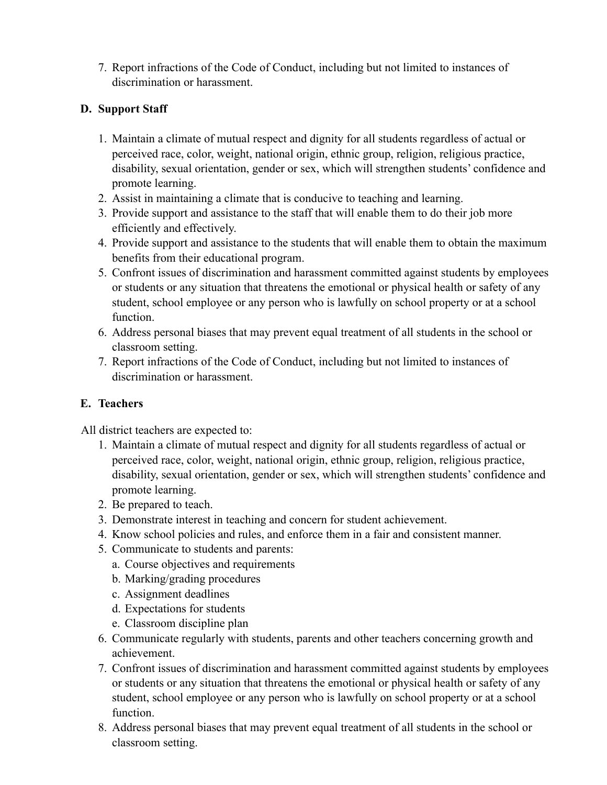7. Report infractions of the Code of Conduct, including but not limited to instances of discrimination or harassment.

## **D. Support Staff**

- 1. Maintain a climate of mutual respect and dignity for all students regardless of actual or perceived race, color, weight, national origin, ethnic group, religion, religious practice, disability, sexual orientation, gender or sex, which will strengthen students' confidence and promote learning.
- 2. Assist in maintaining a climate that is conducive to teaching and learning.
- 3. Provide support and assistance to the staff that will enable them to do their job more efficiently and effectively.
- 4. Provide support and assistance to the students that will enable them to obtain the maximum benefits from their educational program.
- 5. Confront issues of discrimination and harassment committed against students by employees or students or any situation that threatens the emotional or physical health or safety of any student, school employee or any person who is lawfully on school property or at a school function.
- 6. Address personal biases that may prevent equal treatment of all students in the school or classroom setting.
- 7. Report infractions of the Code of Conduct, including but not limited to instances of discrimination or harassment.

## **E. Teachers**

All district teachers are expected to:

- 1. Maintain a climate of mutual respect and dignity for all students regardless of actual or perceived race, color, weight, national origin, ethnic group, religion, religious practice, disability, sexual orientation, gender or sex, which will strengthen students' confidence and promote learning.
- 2. Be prepared to teach.
- 3. Demonstrate interest in teaching and concern for student achievement.
- 4. Know school policies and rules, and enforce them in a fair and consistent manner.
- 5. Communicate to students and parents:
	- a. Course objectives and requirements
	- b. Marking/grading procedures
	- c. Assignment deadlines
	- d. Expectations for students
	- e. Classroom discipline plan
- 6. Communicate regularly with students, parents and other teachers concerning growth and achievement.
- 7. Confront issues of discrimination and harassment committed against students by employees or students or any situation that threatens the emotional or physical health or safety of any student, school employee or any person who is lawfully on school property or at a school function.
- 8. Address personal biases that may prevent equal treatment of all students in the school or classroom setting.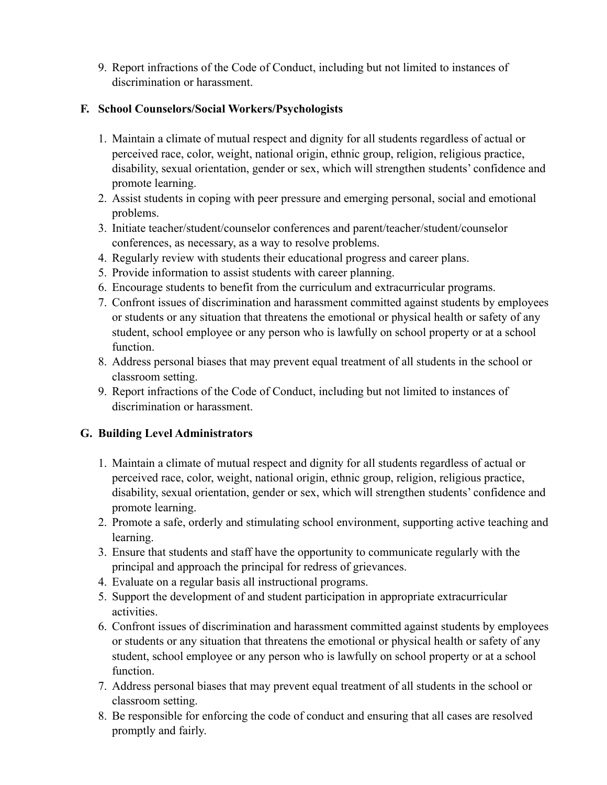9. Report infractions of the Code of Conduct, including but not limited to instances of discrimination or harassment.

## **F. School Counselors/Social Workers/Psychologists**

- 1. Maintain a climate of mutual respect and dignity for all students regardless of actual or perceived race, color, weight, national origin, ethnic group, religion, religious practice, disability, sexual orientation, gender or sex, which will strengthen students' confidence and promote learning.
- 2. Assist students in coping with peer pressure and emerging personal, social and emotional problems.
- 3. Initiate teacher/student/counselor conferences and parent/teacher/student/counselor conferences, as necessary, as a way to resolve problems.
- 4. Regularly review with students their educational progress and career plans.
- 5. Provide information to assist students with career planning.
- 6. Encourage students to benefit from the curriculum and extracurricular programs.
- 7. Confront issues of discrimination and harassment committed against students by employees or students or any situation that threatens the emotional or physical health or safety of any student, school employee or any person who is lawfully on school property or at a school function.
- 8. Address personal biases that may prevent equal treatment of all students in the school or classroom setting.
- 9. Report infractions of the Code of Conduct, including but not limited to instances of discrimination or harassment.

## **G. Building Level Administrators**

- 1. Maintain a climate of mutual respect and dignity for all students regardless of actual or perceived race, color, weight, national origin, ethnic group, religion, religious practice, disability, sexual orientation, gender or sex, which will strengthen students' confidence and promote learning.
- 2. Promote a safe, orderly and stimulating school environment, supporting active teaching and learning.
- 3. Ensure that students and staff have the opportunity to communicate regularly with the principal and approach the principal for redress of grievances.
- 4. Evaluate on a regular basis all instructional programs.
- 5. Support the development of and student participation in appropriate extracurricular activities.
- 6. Confront issues of discrimination and harassment committed against students by employees or students or any situation that threatens the emotional or physical health or safety of any student, school employee or any person who is lawfully on school property or at a school function.
- 7. Address personal biases that may prevent equal treatment of all students in the school or classroom setting.
- 8. Be responsible for enforcing the code of conduct and ensuring that all cases are resolved promptly and fairly.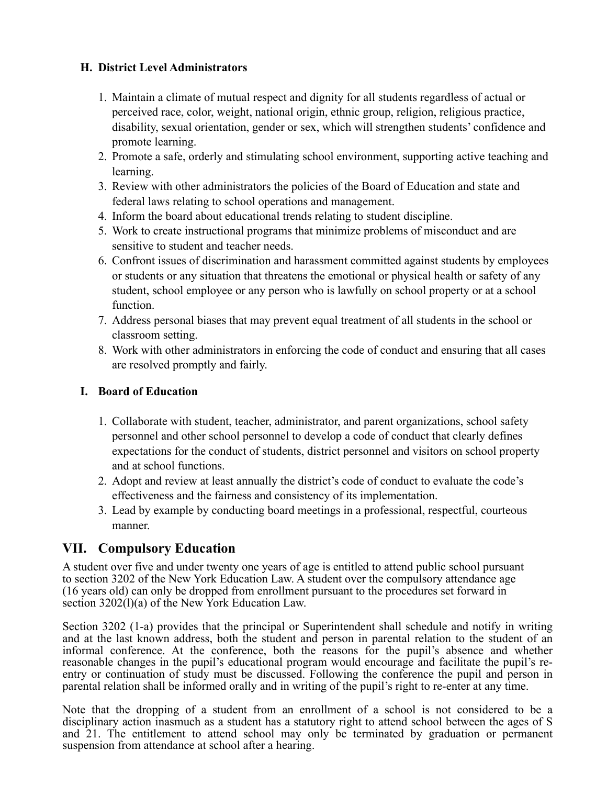## **H. District Level Administrators**

- 1. Maintain a climate of mutual respect and dignity for all students regardless of actual or perceived race, color, weight, national origin, ethnic group, religion, religious practice, disability, sexual orientation, gender or sex, which will strengthen students' confidence and promote learning.
- 2. Promote a safe, orderly and stimulating school environment, supporting active teaching and learning.
- 3. Review with other administrators the policies of the Board of Education and state and federal laws relating to school operations and management.
- 4. Inform the board about educational trends relating to student discipline.
- 5. Work to create instructional programs that minimize problems of misconduct and are sensitive to student and teacher needs.
- 6. Confront issues of discrimination and harassment committed against students by employees or students or any situation that threatens the emotional or physical health or safety of any student, school employee or any person who is lawfully on school property or at a school function.
- 7. Address personal biases that may prevent equal treatment of all students in the school or classroom setting.
- 8. Work with other administrators in enforcing the code of conduct and ensuring that all cases are resolved promptly and fairly.

## **I. Board of Education**

- 1. Collaborate with student, teacher, administrator, and parent organizations, school safety personnel and other school personnel to develop a code of conduct that clearly defines expectations for the conduct of students, district personnel and visitors on school property and at school functions.
- 2. Adopt and review at least annually the district's code of conduct to evaluate the code's effectiveness and the fairness and consistency of its implementation.
- 3. Lead by example by conducting board meetings in a professional, respectful, courteous manner.

## **VII. Compulsory Education**

A student over five and under twenty one years of age is entitled to attend public school pursuant to section 3202 of the New York Education Law. A student over the compulsory attendance age (16 years old) can only be dropped from enrollment pursuant to the procedures set forward in section  $3202(1)(a)$  of the New York Education Law.

 Section 3202 (1-a) provides that the principal or Superintendent shall schedule and notify in writing and at the last known address, both the student and person in parental relation to the student of an informal conference. At the conference, both the reasons for the pupil's absence and whether reasonable changes in the pupil's educational program would encourage and facilitate the pupil's re- entry or continuation of study must be discussed. Following the conference the pupil and person in parental relation shall be informed orally and in writing of the pupil's right to re-enter at any time.

 Note that the dropping of a student from an enrollment of a school is not considered to be a disciplinary action inasmuch as a student has a statutory right to attend school between the ages of S and 21. The entitlement to attend school may only be terminated by graduation or permanent suspension from attendance at school after a hearing.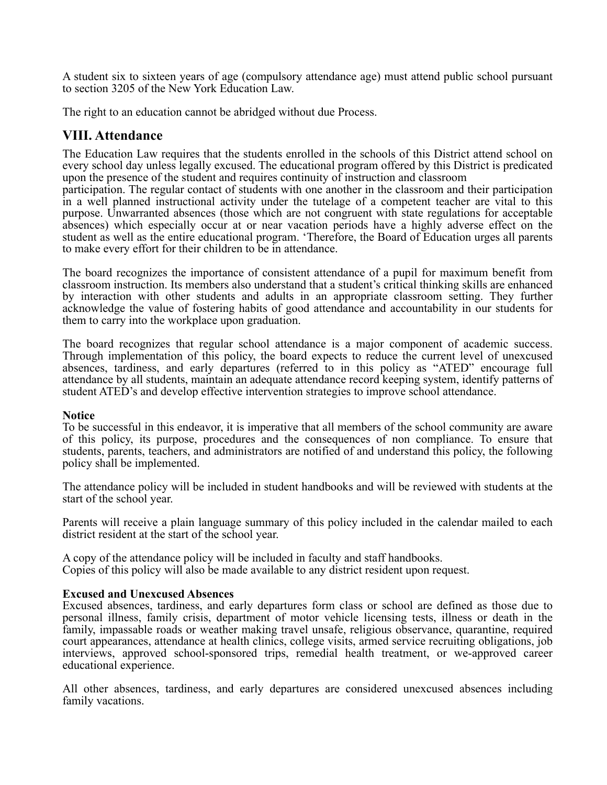A student six to sixteen years of age (compulsory attendance age) must attend public school pursuant to section 3205 of the New York Education Law.

The right to an education cannot be abridged without due Process.

## **VIII. Attendance**

 The Education Law requires that the students enrolled in the schools of this District attend school on every school day unless legally excused. The educational program offered by this District is predicated upon the presence of the student and requires continuity of instruction and classroom

 participation. The regular contact of students with one another in the classroom and their participation in a well planned instructional activity under the tutelage of a competent teacher are vital to this purpose. Unwarranted absences (those which are not congruent with state regulations for acceptable absences) which especially occur at or near vacation periods have a highly adverse effect on the student as well as the entire educational program. 'Therefore, the Board of Education urges all parents to make every effort for their children to be in attendance.

 The board recognizes the importance of consistent attendance of a pupil for maximum benefit from classroom instruction. Its members also understand that a student's critical thinking skills are enhanced by interaction with other students and adults in an appropriate classroom setting. They further acknowledge the value of fostering habits of good attendance and accountability in our students for them to carry into the workplace upon graduation.

 The board recognizes that regular school attendance is a major component of academic success. Through implementation of this policy, the board expects to reduce the current level of unexcused absences, tardiness, and early departures (referred to in this policy as "ATED" encourage full attendance by all students, maintain an adequate attendance record keeping system, identify patterns of student ATED's and develop effective intervention strategies to improve school attendance.

#### **Notice**

 To be successful in this endeavor, it is imperative that all members of the school community are aware of this policy, its purpose, procedures and the consequences of non compliance. To ensure that students, parents, teachers, and administrators are notified of and understand this policy, the following policy shall be implemented.

 The attendance policy will be included in student handbooks and will be reviewed with students at the start of the school year.

 Parents will receive a plain language summary of this policy included in the calendar mailed to each district resident at the start of the school year.

A copy of the attendance policy will be included in faculty and staff handbooks. Copies of this policy will also be made available to any district resident upon request.

#### **Excused and Unexcused Absences**

 Excused absences, tardiness, and early departures form class or school are defined as those due to family, impassable roads or weather making travel unsafe, religious observance, quarantine, required court appearances, attendance at health clinics, college visits, armed service recruiting obligations, job personal illness, family crisis, department of motor vehicle licensing tests, illness or death in the interviews, approved school-sponsored trips, remedial health treatment, or we-approved career educational experience.

 All other absences, tardiness, and early departures are considered unexcused absences including family vacations.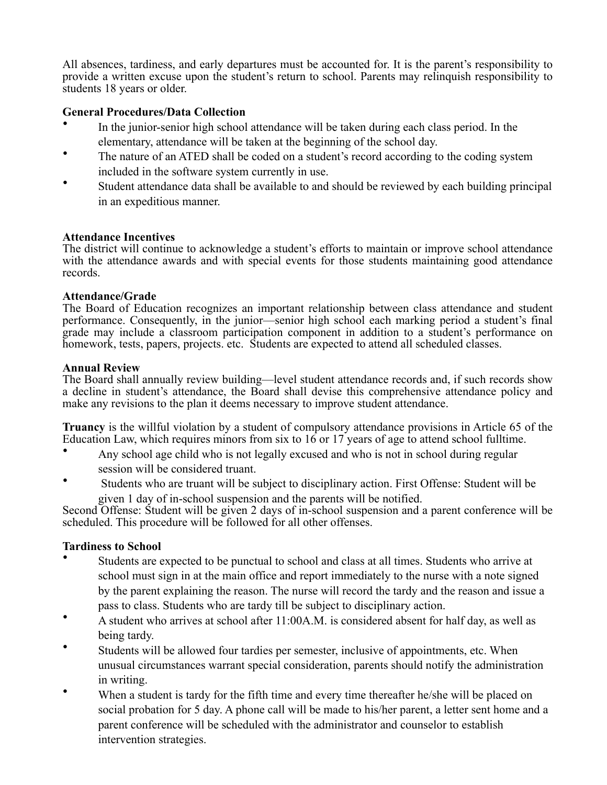All absences, tardiness, and early departures must be accounted for. It is the parent's responsibility to provide a written excuse upon the student's return to school. Parents may relinquish responsibility to students 18 years or older.

#### **General Procedures/Data Collection**

- In the junior-senior high school attendance will be taken during each class period. In the elementary, attendance will be taken at the beginning of the school day.
- The nature of an ATED shall be coded on a student's record according to the coding system included in the software system currently in use.
- Student attendance data shall be available to and should be reviewed by each building principal in an expeditious manner.

#### **Attendance Incentives**

 The district will continue to acknowledge a student's efforts to maintain or improve school attendance with the attendance awards and with special events for those students maintaining good attendance records.

#### **Attendance/Grade**

 The Board of Education recognizes an important relationship between class attendance and student performance. Consequently, in the junior—senior high school each marking period a student's final grade may include a classroom participation component in addition to a student's performance on homework, tests, papers, projects, etc. Students are expected to attend all scheduled classes.

#### **Annual Review**

 The Board shall annually review building—level student attendance records and, if such records show a decline in student's attendance, the Board shall devise this comprehensive attendance policy and make any revisions to the plan it deems necessary to improve student attendance.

 **Truancy** is the willful violation by a student of compulsory attendance provisions in Article 65 of the Education Law, which requires minors from six to 16 or 17 years of age to attend school fulltime.

- Any school age child who is not legally excused and who is not in school during regular session will be considered truant.
- Students who are truant will be subject to disciplinary action. First Offense: Student will be given 1 day of in-school suspension and the parents will be notified.

 Second Offense: Student will be given 2 days of in-school suspension and a parent conference will be scheduled. This procedure will be followed for all other offenses.

#### **Tardiness to School**

- Students are expected to be punctual to school and class at all times. Students who arrive at school must sign in at the main office and report immediately to the nurse with a note signed by the parent explaining the reason. The nurse will record the tardy and the reason and issue a pass to class. Students who are tardy till be subject to disciplinary action.
- A student who arrives at school after 11:00A.M. is considered absent for half day, as well as being tardy.
- Students will be allowed four tardies per semester, inclusive of appointments, etc. When unusual circumstances warrant special consideration, parents should notify the administration in writing.
- When a student is tardy for the fifth time and every time thereafter he/she will be placed on social probation for 5 day. A phone call will be made to his/her parent, a letter sent home and a parent conference will be scheduled with the administrator and counselor to establish intervention strategies.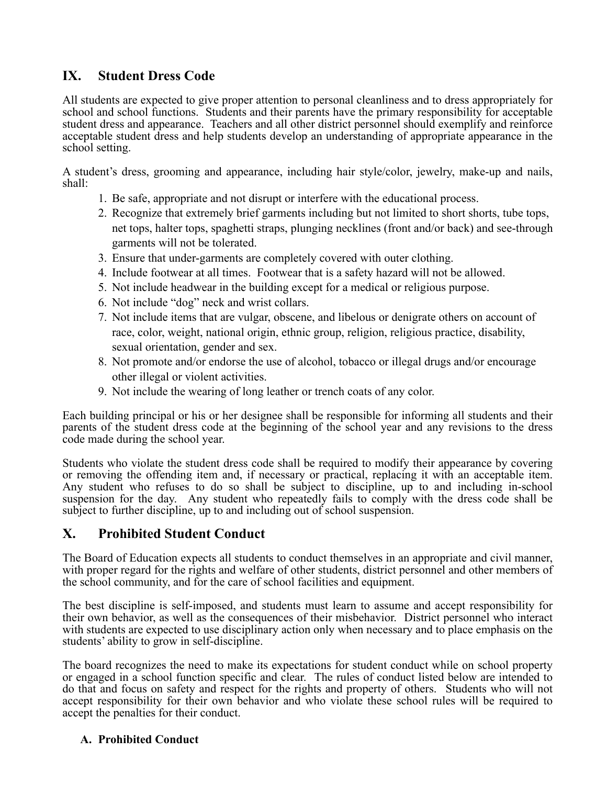## **IX. Student Dress Code**

 All students are expected to give proper attention to personal cleanliness and to dress appropriately for school and school functions. Students and their parents have the primary responsibility for acceptable student dress and appearance. Teachers and all other district personnel should exemplify and reinforce acceptable student dress and help students develop an understanding of appropriate appearance in the school setting.

 A student's dress, grooming and appearance, including hair style/color, jewelry, make-up and nails, shall:

- 1. Be safe, appropriate and not disrupt or interfere with the educational process.
- 2. Recognize that extremely brief garments including but not limited to short shorts, tube tops, net tops, halter tops, spaghetti straps, plunging necklines (front and/or back) and see-through garments will not be tolerated.
- 3. Ensure that under-garments are completely covered with outer clothing.
- 4. Include footwear at all times. Footwear that is a safety hazard will not be allowed.
- 5. Not include headwear in the building except for a medical or religious purpose.
- 6. Not include "dog" neck and wrist collars.
- 7. Not include items that are vulgar, obscene, and libelous or denigrate others on account of race, color, weight, national origin, ethnic group, religion, religious practice, disability, sexual orientation, gender and sex.
- 8. Not promote and/or endorse the use of alcohol, tobacco or illegal drugs and/or encourage other illegal or violent activities.
- 9. Not include the wearing of long leather or trench coats of any color.

 Each building principal or his or her designee shall be responsible for informing all students and their parents of the student dress code at the beginning of the school year and any revisions to the dress code made during the school year.

 Students who violate the student dress code shall be required to modify their appearance by covering or removing the offending item and, if necessary or practical, replacing it with an acceptable item. Any student who refuses to do so shall be subject to discipline, up to and including in-school suspension for the day. Any student who repeatedly fails to comply with the dress code shall be subject to further discipline, up to and including out of school suspension.

## **X. Prohibited Student Conduct**

 The Board of Education expects all students to conduct themselves in an appropriate and civil manner, with proper regard for the rights and welfare of other students, district personnel and other members of the school community, and for the care of school facilities and equipment.

 The best discipline is self-imposed, and students must learn to assume and accept responsibility for their own behavior, as well as the consequences of their misbehavior. District personnel who interact with students are expected to use disciplinary action only when necessary and to place emphasis on the students' ability to grow in self-discipline.

 The board recognizes the need to make its expectations for student conduct while on school property or engaged in a school function specific and clear. The rules of conduct listed below are intended to do that and focus on safety and respect for the rights and property of others. Students who will not accept responsibility for their own behavior and who violate these school rules will be required to accept the penalties for their conduct.

#### **A. Prohibited Conduct**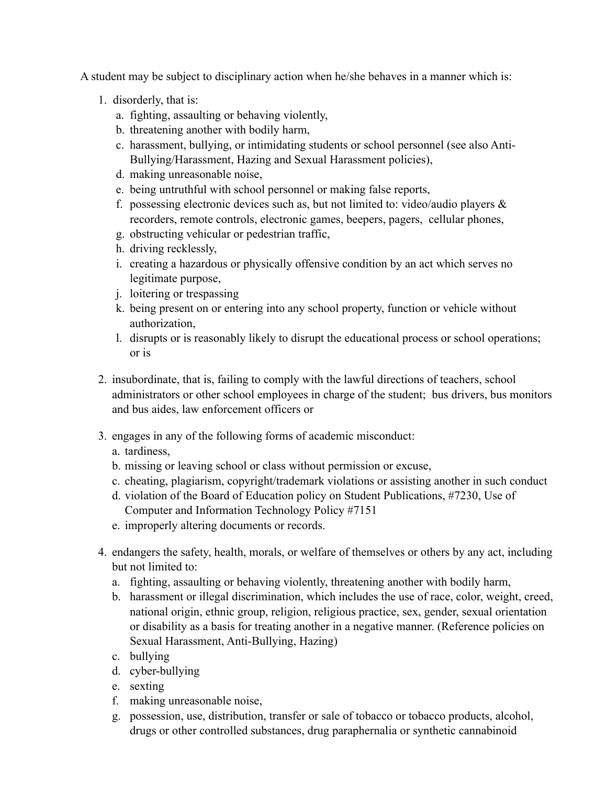A student may be subject to disciplinary action when he/she behaves in a manner which is:

- 1. disorderly, that is:
	- a. fighting, assaulting or behaving violently,
	- b. threatening another with bodily harm,
	- c. harassment, bullying, or intimidating students or school personnel (see also Anti-Bullying/Harassment, Hazing and Sexual Harassment policies),
	- d. making unreasonable noise,
	- e. being untruthful with school personnel or making false reports,
	- f. possessing electronic devices such as, but not limited to: video/audio players  $\&$ recorders, remote controls, electronic games, beepers, pagers, cellular phones,
	- g. obstructing vehicular or pedestrian traffic,
	- h. driving recklessly,
	- i. creating a hazardous or physically offensive condition by an act which serves no legitimate purpose,
	- j. loitering or trespassing
	- k. being present on or entering into any school property, function or vehicle without authorization,
	- l. disrupts or is reasonably likely to disrupt the educational process or school operations; or is
- 2. insubordinate, that is, failing to comply with the lawful directions of teachers, school administrators or other school employees in charge of the student; bus drivers, bus monitors and bus aides, law enforcement officers or
- 3. engages in any of the following forms of academic misconduct:
	- a. tardiness,
	- b. missing or leaving school or class without permission or excuse,
	- c. cheating, plagiarism, copyright/trademark violations or assisting another in such conduct
	- d. violation of the Board of Education policy on Student Publications, #7230, Use of Computer and Information Technology Policy #7151
	- e. improperly altering documents or records.
- 4. endangers the safety, health, morals, or welfare of themselves or others by any act, including but not limited to:
	- a. fighting, assaulting or behaving violently, threatening another with bodily harm,
	- b. harassment or illegal discrimination, which includes the use of race, color, weight, creed, national origin, ethnic group, religion, religious practice, sex, gender, sexual orientation or disability as a basis for treating another in a negative manner. (Reference policies on Sexual Harassment, Anti-Bullying, Hazing)
	- c. bullying
	- d. cyber-bullying
	- e. sexting
	- f. making unreasonable noise,
	- g. possession, use, distribution, transfer or sale of tobacco or tobacco products, alcohol, drugs or other controlled substances, drug paraphernalia or synthetic cannabinoid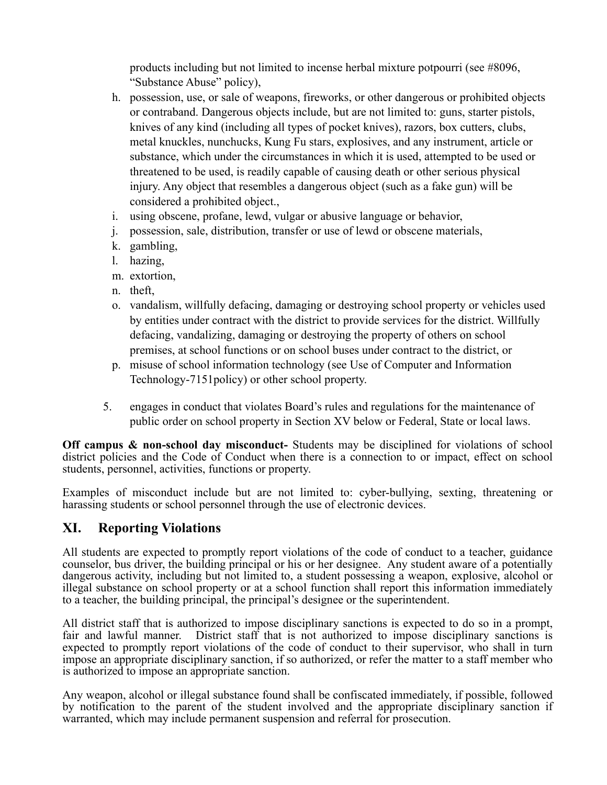products including but not limited to incense herbal mixture potpourri (see #8096, "Substance Abuse" policy),

- h. possession, use, or sale of weapons, fireworks, or other dangerous or prohibited objects or contraband. Dangerous objects include, but are not limited to: guns, starter pistols, knives of any kind (including all types of pocket knives), razors, box cutters, clubs, metal knuckles, nunchucks, Kung Fu stars, explosives, and any instrument, article or substance, which under the circumstances in which it is used, attempted to be used or threatened to be used, is readily capable of causing death or other serious physical injury. Any object that resembles a dangerous object (such as a fake gun) will be considered a prohibited object.,
- i. using obscene, profane, lewd, vulgar or abusive language or behavior,
- j. possession, sale, distribution, transfer or use of lewd or obscene materials,
- k. gambling,
- l. hazing,
- m. extortion,
- n. theft,
- o. vandalism, willfully defacing, damaging or destroying school property or vehicles used by entities under contract with the district to provide services for the district. Willfully defacing, vandalizing, damaging or destroying the property of others on school premises, at school functions or on school buses under contract to the district, or
- p. misuse of school information technology (see Use of Computer and Information Technology-7151policy) or other school property.
- 5. engages in conduct that violates Board's rules and regulations for the maintenance of public order on school property in Section XV below or Federal, State or local laws.

 **Off campus & non-school day misconduct-** Students may be disciplined for violations of school district policies and the Code of Conduct when there is a connection to or impact, effect on school students, personnel, activities, functions or property.

 Examples of misconduct include but are not limited to: cyber-bullying, sexting, threatening or harassing students or school personnel through the use of electronic devices.

## **XI. Reporting Violations**

 All students are expected to promptly report violations of the code of conduct to a teacher, guidance counselor, bus driver, the building principal or his or her designee. Any student aware of a potentially dangerous activity, including but not limited to, a student possessing a weapon, explosive, alcohol or illegal substance on school property or at a school function shall report this information immediately to a teacher, the building principal, the principal's designee or the superintendent.

 All district staff that is authorized to impose disciplinary sanctions is expected to do so in a prompt, fair and lawful manner. District staff that is not authorized to impose disciplinary sanctions is expected to promptly report violations of the code of conduct to their supervisor, who shall in turn impose an appropriate disciplinary sanction, if so authorized, or refer the matter to a staff member who is authorized to impose an appropriate sanction.

 Any weapon, alcohol or illegal substance found shall be confiscated immediately, if possible, followed by notification to the parent of the student involved and the appropriate disciplinary sanction if warranted, which may include permanent suspension and referral for prosecution.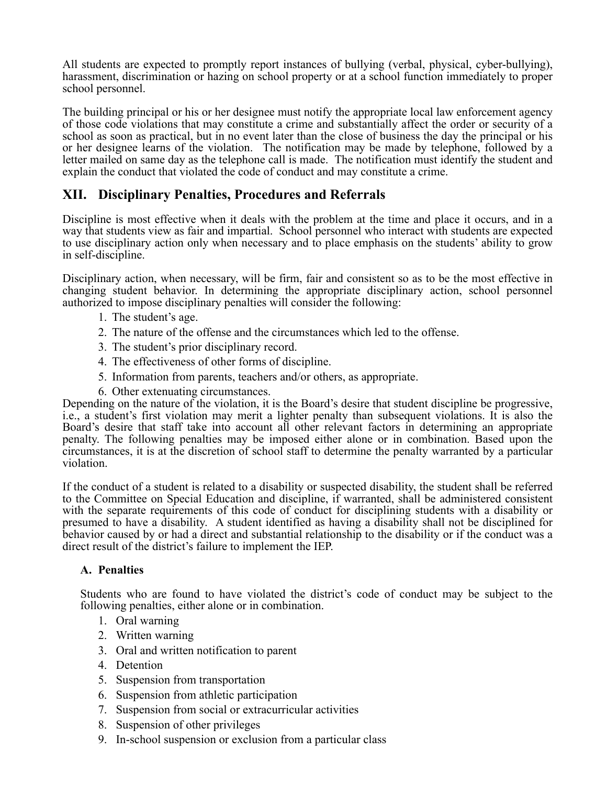All students are expected to promptly report instances of bullying (verbal, physical, cyber-bullying), harassment, discrimination or hazing on school property or at a school function immediately to proper school personnel.

 The building principal or his or her designee must notify the appropriate local law enforcement agency of those code violations that may constitute a crime and substantially affect the order or security of a school as soon as practical, but in no event later than the close of business the day the principal or his or her designee learns of the violation. The notification may be made by telephone, followed by a letter mailed on same day as the telephone call is made. The notification must identify the student and explain the conduct that violated the code of conduct and may constitute a crime.

## **XII. Disciplinary Penalties, Procedures and Referrals**

 Discipline is most effective when it deals with the problem at the time and place it occurs, and in a way that students view as fair and impartial. School personnel who interact with students are expected to use disciplinary action only when necessary and to place emphasis on the students' ability to grow in self-discipline.

 Disciplinary action, when necessary, will be firm, fair and consistent so as to be the most effective in changing student behavior. In determining the appropriate disciplinary action, school personnel authorized to impose disciplinary penalties will consider the following:

- 1. The student's age.
- 2. The nature of the offense and the circumstances which led to the offense.
- 3. The student's prior disciplinary record.
- 4. The effectiveness of other forms of discipline.
- 5. Information from parents, teachers and/or others, as appropriate.
- 6. Other extenuating circumstances.

 Depending on the nature of the violation, it is the Board's desire that student discipline be progressive, i.e., a student's first violation may merit a lighter penalty than subsequent violations. It is also the Board's desire that staff take into account all other relevant factors in determining an appropriate penalty. The following penalties may be imposed either alone or in combination. Based upon the circumstances, it is at the discretion of school staff to determine the penalty warranted by a particular violation.

 If the conduct of a student is related to a disability or suspected disability, the student shall be referred to the Committee on Special Education and discipline, if warranted, shall be administered consistent with the separate requirements of this code of conduct for disciplining students with a disability or presumed to have a disability. A student identified as having a disability shall not be disciplined for behavior caused by or had a direct and substantial relationship to the disability or if the conduct was a direct result of the district's failure to implement the IEP.

#### **A. Penalties**

 Students who are found to have violated the district's code of conduct may be subject to the following penalties, either alone or in combination.

- 1. Oral warning
- 2. Written warning
- 3. Oral and written notification to parent 4. Detention
- 
- 5. Suspension from transportation
- 6. Suspension from athletic participation
- 7. Suspension from social or extracurricular activities
- 8. Suspension of other privileges
- 9. In-school suspension or exclusion from a particular class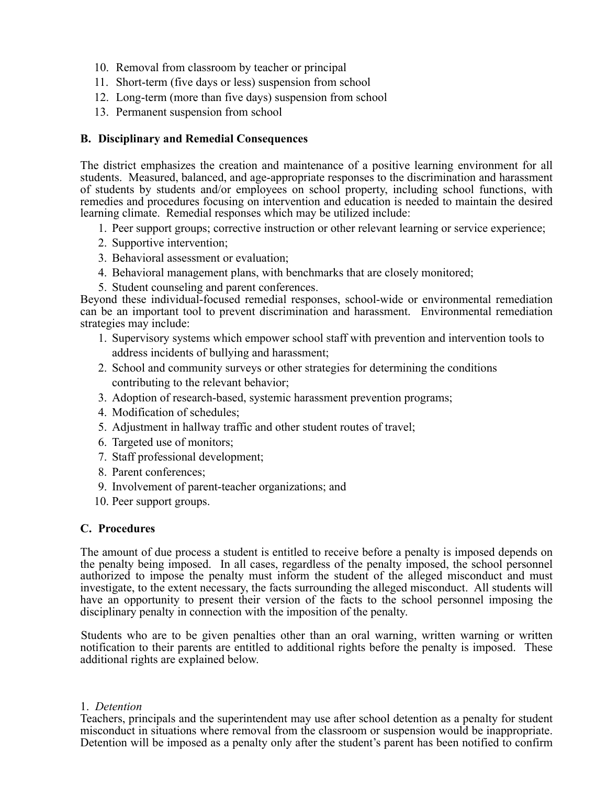- 10. Removal from classroom by teacher or principal
- 11. Short-term (five days or less) suspension from school
- 10. Removal from classroom by teacher or principal<br>11. Short-term (five days or less) suspension from school<br>12. Long-term (more than five days) suspension from school<br>13. Permanent suspension from school
- 13. Permanent suspension from school

## **B. Disciplinary and Remedial Consequences**

 The district emphasizes the creation and maintenance of a positive learning environment for all students. Measured, balanced, and age-appropriate responses to the discrimination and harassment of students by students and/or employees on school property, including school functions, with remedies and procedures focusing on intervention and education is needed to maintain the desired learning climate. Remedial responses which may be utilized include:

- 1. Peer support groups; corrective instruction or other relevant learning or service experience;
- 2. Supportive intervention;
- 3. Behavioral assessment or evaluation;
- 4. Behavioral management plans, with benchmarks that are closely monitored;
- 5. Student counseling and parent conferences.

 can be an important tool to prevent discrimination and harassment. Environmental remediation Beyond these individual-focused remedial responses, school-wide or environmental remediation strategies may include:

- 1. Supervisory systems which empower school staff with prevention and intervention tools to address incidents of bullying and harassment;
- 2. School and community surveys or other strategies for determining the conditions contributing to the relevant behavior;
- 3. Adoption of research-based, systemic harassment prevention programs;
- 4. Modification of schedules;
- 5. Adjustment in hallway traffic and other student routes of travel;
- 6. Targeted use of monitors;
- 7. Staff professional development;
- 8. Parent conferences;
- 9. Involvement of parent-teacher organizations; and
- 10. Peer support groups.

#### **C. Procedures**

 The amount of due process a student is entitled to receive before a penalty is imposed depends on the penalty being imposed. In all cases, regardless of the penalty imposed, the school personnel authorized to impose the penalty must inform the student of the alleged misconduct and must investigate, to the extent necessary, the facts surrounding the alleged misconduct. All students will have an opportunity to present their version of the facts to the school personnel imposing the disciplinary penalty in connection with the imposition of the penalty.

 Students who are to be given penalties other than an oral warning, written warning or written notification to their parents are entitled to additional rights before the penalty is imposed. These additional rights are explained below.

#### 1. *Detention*

 Teachers, principals and the superintendent may use after school detention as a penalty for student misconduct in situations where removal from the classroom or suspension would be inappropriate. Detention will be imposed as a penalty only after the student's parent has been notified to confirm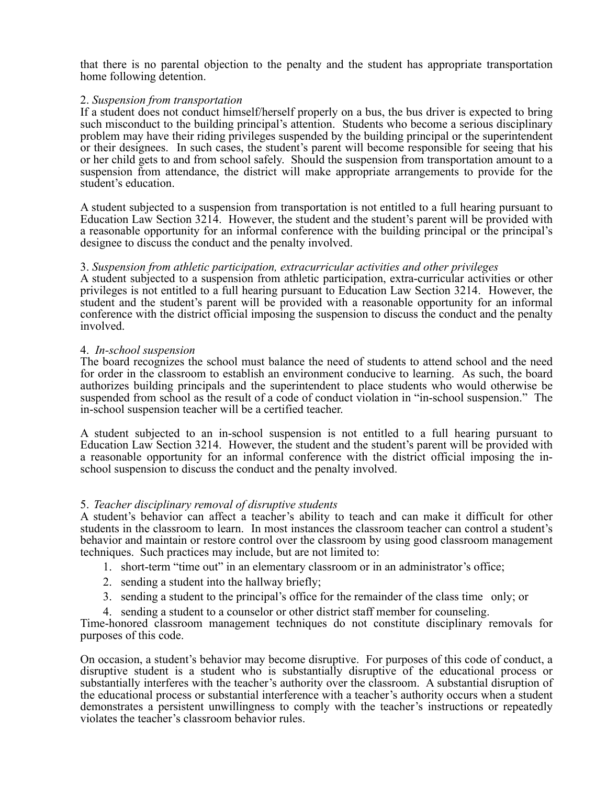that there is no parental objection to the penalty and the student has appropriate transportation home following detention.

#### 2. *Suspension from transportation*

 If a student does not conduct himself/herself properly on a bus, the bus driver is expected to bring such misconduct to the building principal's attention. Students who become a serious disciplinary problem may have their riding privileges suspended by the building principal or the superintendent or their designees. In such cases, the student's parent will become responsible for seeing that his or her child gets to and from school safely. Should the suspension from transportation amount to a suspension from attendance, the district will make appropriate arrangements to provide for the student's education.

 A student subjected to a suspension from transportation is not entitled to a full hearing pursuant to Education Law Section 3214. However, the student and the student's parent will be provided with a reasonable opportunity for an informal conference with the building principal or the principal's designee to discuss the conduct and the penalty involved.

#### 3. *Suspension from athletic participation, extracurricular activities and other privileges*

 A student subjected to a suspension from athletic participation, extra-curricular activities or other privileges is not entitled to a full hearing pursuant to Education Law Section 3214. However, the student and the student's parent will be provided with a reasonable opportunity for an informal conference with the district official imposing the suspension to discuss the conduct and the penalty involved.

#### 4. *In-school suspension*

 The board recognizes the school must balance the need of students to attend school and the need for order in the classroom to establish an environment conducive to learning. As such, the board authorizes building principals and the superintendent to place students who would otherwise be suspended from school as the result of a code of conduct violation in "in-school suspension." The in-school suspension teacher will be a certified teacher.

 A student subjected to an in-school suspension is not entitled to a full hearing pursuant to Education Law Section 3214. However, the student and the student's parent will be provided with a reasonable opportunity for an informal conference with the district official imposing the inschool suspension to discuss the conduct and the penalty involved.

#### 5. *Teacher disciplinary removal of disruptive students*

 A student's behavior can affect a teacher's ability to teach and can make it difficult for other students in the classroom to learn. In most instances the classroom teacher can control a student's behavior and maintain or restore control over the classroom by using good classroom management techniques. Such practices may include, but are not limited to:

- 1. short-term "time out" in an elementary classroom or in an administrator's office;
- 2. sending a student into the hallway briefly;
- 3. sending a student to the principal's office for the remainder of the class time only; or
- 4. sending a student to a counselor or other district staff member for counseling.

 Time-honored classroom management techniques do not constitute disciplinary removals for purposes of this code.

 On occasion, a student's behavior may become disruptive. For purposes of this code of conduct, a disruptive student is a student who is substantially disruptive of the educational process or substantially interferes with the teacher's authority over the classroom. A substantial disruption of the educational process or substantial interference with a teacher's authority occurs when a student demonstrates a persistent unwillingness to comply with the teacher's instructions or repeatedly violates the teacher's classroom behavior rules.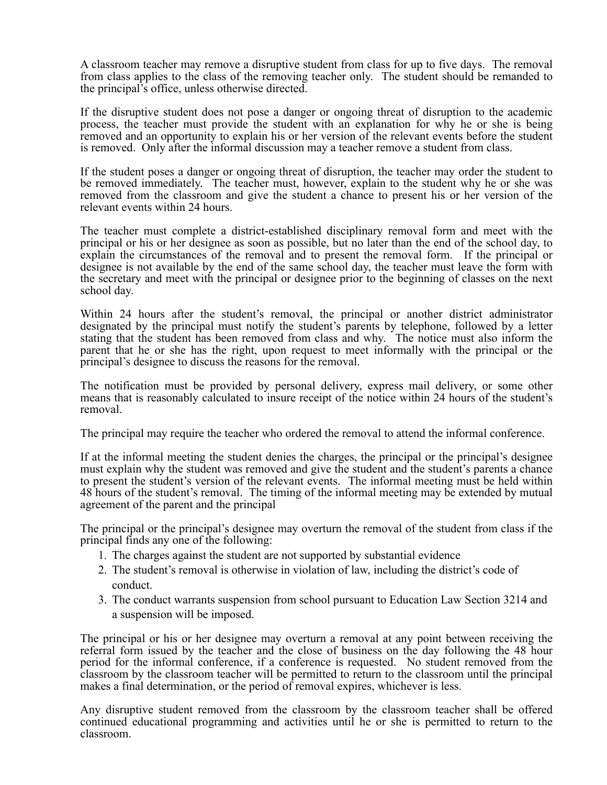A classroom teacher may remove a disruptive student from class for up to five days. The removal from class applies to the class of the removing teacher only. The student should be remanded to the principal's office, unless otherwise directed.

 If the disruptive student does not pose a danger or ongoing threat of disruption to the academic process, the teacher must provide the student with an explanation for why he or she is being removed and an opportunity to explain his or her version of the relevant events before the student is removed. Only after the informal discussion may a teacher remove a student from class.

 If the student poses a danger or ongoing threat of disruption, the teacher may order the student to be removed immediately. The teacher must, however, explain to the student why he or she was removed from the classroom and give the student a chance to present his or her version of the relevant events within 24 hours.

 The teacher must complete a district-established disciplinary removal form and meet with the principal or his or her designee as soon as possible, but no later than the end of the school day, to explain the circumstances of the removal and to present the removal form. If the principal or designee is not available by the end of the same school day, the teacher must leave the form with the secretary and meet with the principal or designee prior to the beginning of classes on the next school day.

 Within 24 hours after the student's removal, the principal or another district administrator designated by the principal must notify the student's parents by telephone, followed by a letter stating that the student has been removed from class and why. The notice must also inform the parent that he or she has the right, upon request to meet informally with the principal or the principal's designee to discuss the reasons for the removal.

 The notification must be provided by personal delivery, express mail delivery, or some other means that is reasonably calculated to insure receipt of the notice within 24 hours of the student's removal.

The principal may require the teacher who ordered the removal to attend the informal conference.

 If at the informal meeting the student denies the charges, the principal or the principal's designee must explain why the student was removed and give the student and the student's parents a chance to present the student's version of the relevant events. The informal meeting must be held within 48 hours of the student's removal. The timing of the informal meeting may be extended by mutual agreement of the parent and the principal

 The principal or the principal's designee may overturn the removal of the student from class if the principal finds any one of the following:

- 1. The charges against the student are not supported by substantial evidence
- 2. The student's removal is otherwise in violation of law, including the district's code of conduct.
- 3. The conduct warrants suspension from school pursuant to Education Law Section 3214 and a suspension will be imposed.

 The principal or his or her designee may overturn a removal at any point between receiving the referral form issued by the teacher and the close of business on the day following the 48 hour period for the informal conference, if a conference is requested. No student removed from the classroom by the classroom teacher will be permitted to return to the classroom until the principal makes a final determination, or the period of removal expires, whichever is less.

 Any disruptive student removed from the classroom by the classroom teacher shall be offered continued educational programming and activities until he or she is permitted to return to the classroom.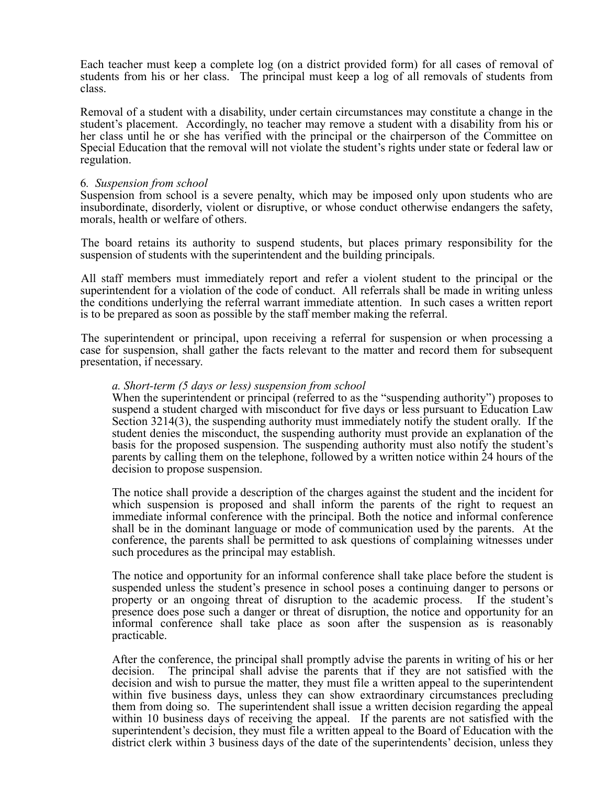Each teacher must keep a complete log (on a district provided form) for all cases of removal of students from his or her class. The principal must keep a log of all removals of students from class.

 Removal of a student with a disability, under certain circumstances may constitute a change in the student's placement. Accordingly, no teacher may remove a student with a disability from his or her class until he or she has verified with the principal or the chairperson of the Committee on Special Education that the removal will not violate the student's rights under state or federal law or regulation.

#### 6*. Suspension from school*

 Suspension from school is a severe penalty, which may be imposed only upon students who are insubordinate, disorderly, violent or disruptive, or whose conduct otherwise endangers the safety, morals, health or welfare of others.

 The board retains its authority to suspend students, but places primary responsibility for the suspension of students with the superintendent and the building principals.

 All staff members must immediately report and refer a violent student to the principal or the superintendent for a violation of the code of conduct. All referrals shall be made in writing unless the conditions underlying the referral warrant immediate attention. In such cases a written report is to be prepared as soon as possible by the staff member making the referral.

 The superintendent or principal, upon receiving a referral for suspension or when processing a case for suspension, shall gather the facts relevant to the matter and record them for subsequent presentation, if necessary.

#### *a. Short-term (5 days or less) suspension from school*

 When the superintendent or principal (referred to as the "suspending authority") proposes to suspend a student charged with misconduct for five days or less pursuant to Education Law Section 3214(3), the suspending authority must immediately notify the student orally. If the student denies the misconduct, the suspending authority must provide an explanation of the basis for the proposed suspension. The suspending authority must also notify the student's parents by calling them on the telephone, followed by a written notice within 24 hours of the decision to propose suspension.

 The notice shall provide a description of the charges against the student and the incident for which suspension is proposed and shall inform the parents of the right to request an immediate informal conference with the principal. Both the notice and informal conference shall be in the dominant language or mode of communication used by the parents. At the conference, the parents shall be permitted to ask questions of complaining witnesses under such procedures as the principal may establish.

 The notice and opportunity for an informal conference shall take place before the student is suspended unless the student's presence in school poses a continuing danger to persons or property or an ongoing threat of disruption to the academic process. If the student's presence does pose such a danger or threat of disruption, the notice and opportunity for an informal conference shall take place as soon after the suspension as is reasonably practicable.

 After the conference, the principal shall promptly advise the parents in writing of his or her decision and wish to pursue the matter, they must file a written appeal to the superintendent within five business days, unless they can show extraordinary circumstances precluding them from doing so. The superintendent shall issue a written decision regarding the appeal within 10 business days of receiving the appeal. If the parents are not satisfied with the superintendent's decision, they must file a written appeal to the Board of Education with the district clerk within 3 business days of the date of the superintendents' decision, unless they decision. The principal shall advise the parents that if they are not satisfied with the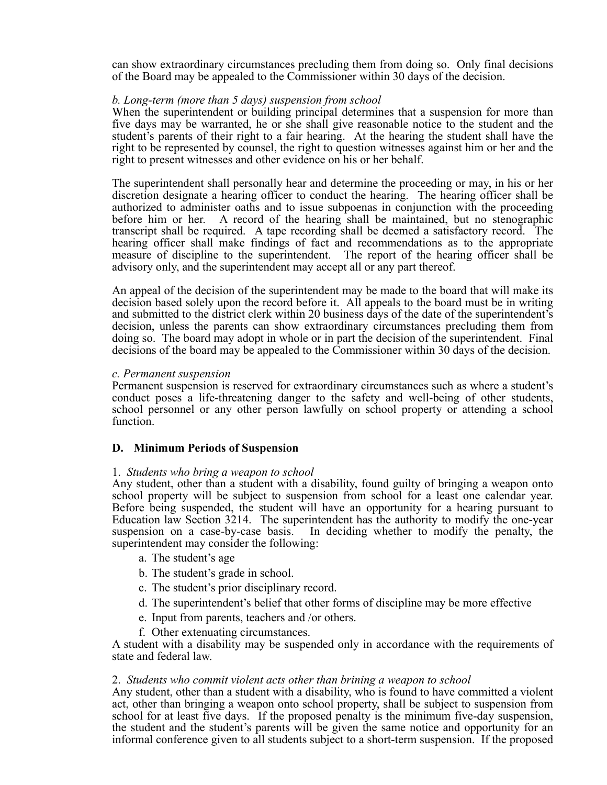can show extraordinary circumstances precluding them from doing so. Only final decisions of the Board may be appealed to the Commissioner within 30 days of the decision.

#### *b. Long-term (more than 5 days) suspension from school*

 When the superintendent or building principal determines that a suspension for more than five days may be warranted, he or she shall give reasonable notice to the student and the student's parents of their right to a fair hearing. At the hearing the student shall have the right to be represented by counsel, the right to question witnesses against him or her and the right to present witnesses and other evidence on his or her behalf.

 The superintendent shall personally hear and determine the proceeding or may, in his or her discretion designate a hearing officer to conduct the hearing. The hearing officer shall be authorized to administer oaths and to issue subpoenas in conjunction with the proceeding before him or her. A record of the hearing shall be maintained, but no stenographic transcript shall be required. A tape recording shall be deemed a satisfactory record. The hearing officer shall make findings of fact and recommendations as to the appropriate measure of discipline to the superintendent. The report of the hearing officer shall be advisory only, and the superintendent may accept all or any part thereof.

 An appeal of the decision of the superintendent may be made to the board that will make its decision based solely upon the record before it. All appeals to the board must be in writing and submitted to the district clerk within 20 business days of the date of the superintendent's decision, unless the parents can show extraordinary circumstances precluding them from doing so. The board may adopt in whole or in part the decision of the superintendent. Final decisions of the board may be appealed to the Commissioner within 30 days of the decision.

#### *c. Permanent suspension*

 Permanent suspension is reserved for extraordinary circumstances such as where a student's conduct poses a life-threatening danger to the safety and well-being of other students, school personnel or any other person lawfully on school property or attending a school function.

#### **D. Minimum Periods of Suspension**

#### 1. *Students who bring a weapon to school*

 Any student, other than a student with a disability, found guilty of bringing a weapon onto school property will be subject to suspension from school for a least one calendar year. Before being suspended, the student will have an opportunity for a hearing pursuant to Education law Section 3214. The superintendent has the authority to modify the one-year suspension on a case-by-case basis. In deciding whether to modify the penalty, the superintendent may consider the following:

- a. The student's age
- b. The student's grade in school.
- c. The student's prior disciplinary record.
- d. The superintendent's belief that other forms of discipline may be more effective
- e. Input from parents, teachers and /or others.
- f. Other extenuating circumstances.

 A student with a disability may be suspended only in accordance with the requirements of state and federal law.

#### 2. *Students who commit violent acts other than brining a weapon to school*

 Any student, other than a student with a disability, who is found to have committed a violent act, other than bringing a weapon onto school property, shall be subject to suspension from school for at least five days. If the proposed penalty is the minimum five-day suspension, the student and the student's parents will be given the same notice and opportunity for an informal conference given to all students subject to a short-term suspension. If the proposed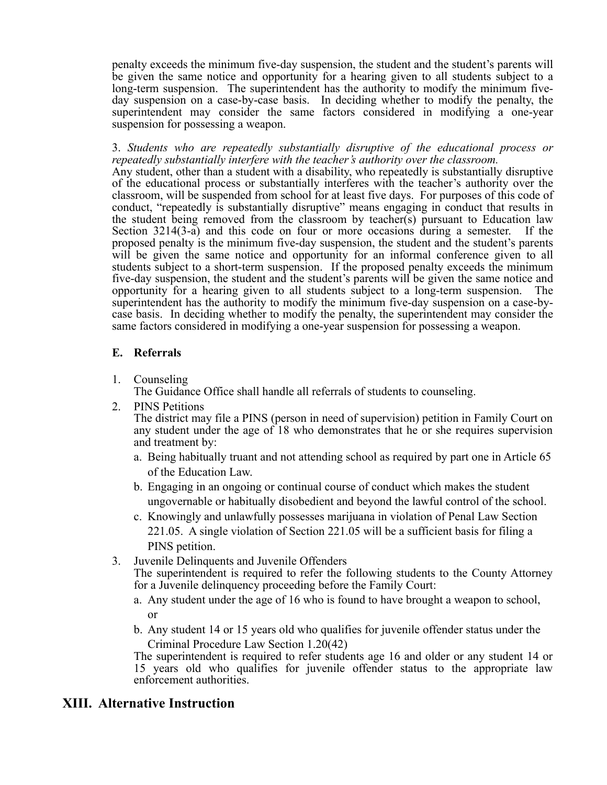penalty exceeds the minimum five-day suspension, the student and the student's parents will be given the same notice and opportunity for a hearing given to all students subject to a long-term suspension. The superintendent has the authority to modify the minimum five- day suspension on a case-by-case basis. In deciding whether to modify the penalty, the superintendent may consider the same factors considered in modifying a one-year suspension for possessing a weapon.

 3. *Students who are repeatedly substantially disruptive of the educational process or*  Any student, other than a student with a disability, who repeatedly is substantially disruptive of the educational process or substantially interferes with the teacher's authority over the classroom, will be suspended from school for at least five days. For purposes of this code of conduct, "repeatedly is substantially disruptive" means engaging in conduct that results in the student being removed from the classroom by teacher(s) pursuant to Education law Section 3214(3-a) and this code on four or more occasions during a semester. If the proposed penalty is the minimum five-day suspension, the student and the student's parents will be given the same notice and opportunity for an informal conference given to all students subject to a short-term suspension. If the proposed penalty exceeds the minimum five-day suspension, the student and the student's parents will be given the same notice and opportunity for a hearing given to all students subject to a long-term suspension. The superintendent has the authority to modify the minimum five-day suspension on a case-by- case basis. In deciding whether to modify the penalty, the superintendent may consider the *repeatedly substantially interfere with the teacher's authority over the classroom.*  same factors considered in modifying a one-year suspension for possessing a weapon.

#### **E. Referrals**

1. Counseling

The Guidance Office shall handle all referrals of students to counseling.

- The district may file a PINS (person in need of supervision) petition in Family Court on any student under the age of 18 who demonstrates that he or she requires supervision 2. PINS Petitions and treatment by:
	- a. Being habitually truant and not attending school as required by part one in Article 65 of the Education Law.
	- b. Engaging in an ongoing or continual course of conduct which makes the student ungovernable or habitually disobedient and beyond the lawful control of the school.
	- c. Knowingly and unlawfully possesses marijuana in violation of Penal Law Section 221.05. A single violation of Section 221.05 will be a sufficient basis for filing a PINS petition.
- 3. Juvenile Delinquents and Juvenile Offenders

 The superintendent is required to refer the following students to the County Attorney for a Juvenile delinquency proceeding before the Family Court:

- a. Any student under the age of 16 who is found to have brought a weapon to school, or
- b. Any student 14 or 15 years old who qualifies for juvenile offender status under the Criminal Procedure Law Section 1.20(42)

 The superintendent is required to refer students age 16 and older or any student 14 or 15 years old who qualifies for juvenile offender status to the appropriate law enforcement authorities.

## **XIII. Alternative Instruction**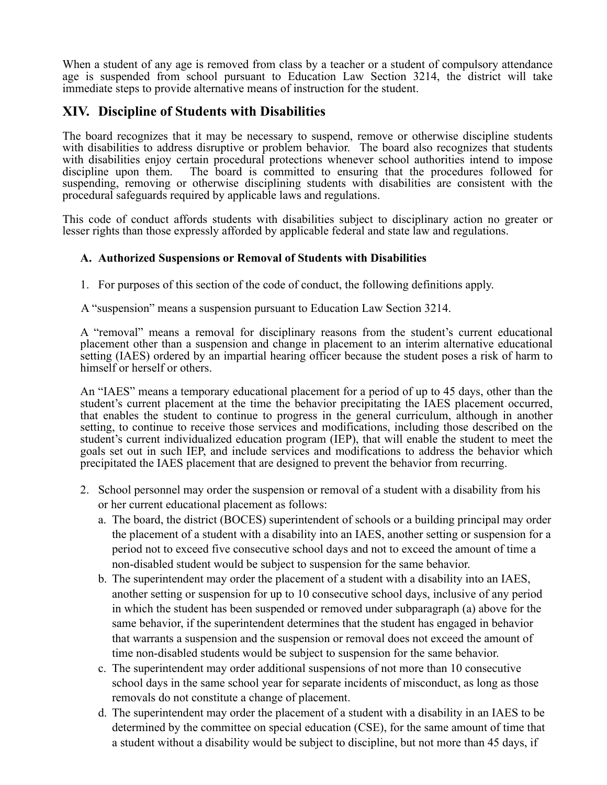When a student of any age is removed from class by a teacher or a student of compulsory attendance age is suspended from school pursuant to Education Law Section 3214, the district will take immediate steps to provide alternative means of instruction for the student.

## **XIV. Discipline of Students with Disabilities**

 The board recognizes that it may be necessary to suspend, remove or otherwise discipline students with disabilities to address disruptive or problem behavior. The board also recognizes that students with disabilities enjoy certain procedural protections whenever school authorities intend to impose suspending, removing or otherwise disciplining students with disabilities are consistent with the discipline upon them. The board is committed to ensuring that the procedures followed for procedural safeguards required by applicable laws and regulations.

 This code of conduct affords students with disabilities subject to disciplinary action no greater or lesser rights than those expressly afforded by applicable federal and state law and regulations.

#### **A. Authorized Suspensions or Removal of Students with Disabilities**

1. For purposes of this section of the code of conduct, the following definitions apply.

A "suspension" means a suspension pursuant to Education Law Section 3214.

 A "removal" means a removal for disciplinary reasons from the student's current educational placement other than a suspension and change in placement to an interim alternative educational setting (IAES) ordered by an impartial hearing officer because the student poses a risk of harm to himself or herself or others.

 An "IAES" means a temporary educational placement for a period of up to 45 days, other than the student's current placement at the time the behavior precipitating the IAES placement occurred, that enables the student to continue to progress in the general curriculum, although in another setting, to continue to receive those services and modifications, including those described on the student's current individualized education program (IEP), that will enable the student to meet the goals set out in such IEP, and include services and modifications to address the behavior which precipitated the IAES placement that are designed to prevent the behavior from recurring.

- 2. School personnel may order the suspension or removal of a student with a disability from his or her current educational placement as follows:
	- a. The board, the district (BOCES) superintendent of schools or a building principal may order the placement of a student with a disability into an IAES, another setting or suspension for a period not to exceed five consecutive school days and not to exceed the amount of time a non-disabled student would be subject to suspension for the same behavior.
	- b. The superintendent may order the placement of a student with a disability into an IAES, another setting or suspension for up to 10 consecutive school days, inclusive of any period in which the student has been suspended or removed under subparagraph (a) above for the same behavior, if the superintendent determines that the student has engaged in behavior that warrants a suspension and the suspension or removal does not exceed the amount of time non-disabled students would be subject to suspension for the same behavior.
	- c. The superintendent may order additional suspensions of not more than 10 consecutive school days in the same school year for separate incidents of misconduct, as long as those removals do not constitute a change of placement.
	- d. The superintendent may order the placement of a student with a disability in an IAES to be determined by the committee on special education (CSE), for the same amount of time that a student without a disability would be subject to discipline, but not more than 45 days, if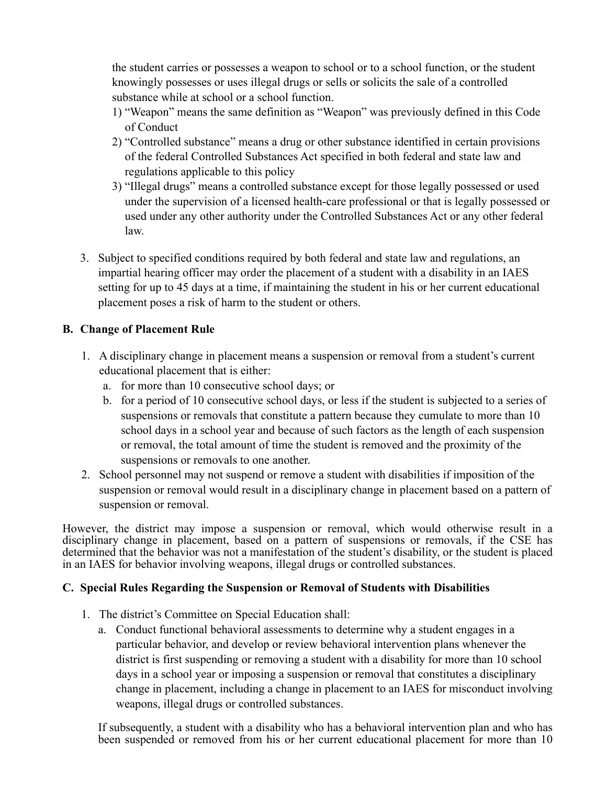the student carries or possesses a weapon to school or to a school function, or the student knowingly possesses or uses illegal drugs or sells or solicits the sale of a controlled substance while at school or a school function.

- 1) "Weapon" means the same definition as "Weapon" was previously defined in this Code of Conduct
- 2) "Controlled substance" means a drug or other substance identified in certain provisions of the federal Controlled Substances Act specified in both federal and state law and regulations applicable to this policy
- 3) "Illegal drugs" means a controlled substance except for those legally possessed or used under the supervision of a licensed health-care professional or that is legally possessed or used under any other authority under the Controlled Substances Act or any other federal law.
- 3. Subject to specified conditions required by both federal and state law and regulations, an impartial hearing officer may order the placement of a student with a disability in an IAES setting for up to 45 days at a time, if maintaining the student in his or her current educational placement poses a risk of harm to the student or others.

## **B. Change of Placement Rule**

- 1. A disciplinary change in placement means a suspension or removal from a student's current educational placement that is either:
	- a. for more than 10 consecutive school days; or
	- b. for a period of 10 consecutive school days, or less if the student is subjected to a series of suspensions or removals that constitute a pattern because they cumulate to more than 10 school days in a school year and because of such factors as the length of each suspension or removal, the total amount of time the student is removed and the proximity of the suspensions or removals to one another.
- 2. School personnel may not suspend or remove a student with disabilities if imposition of the suspension or removal would result in a disciplinary change in placement based on a pattern of suspension or removal.

 However, the district may impose a suspension or removal, which would otherwise result in a disciplinary change in placement, based on a pattern of suspensions or removals, if the CSE has determined that the behavior was not a manifestation of the student's disability, or the student is placed in an IAES for behavior involving weapons, illegal drugs or controlled substances.

#### **C. Special Rules Regarding the Suspension or Removal of Students with Disabilities**

- 1. The district's Committee on Special Education shall:
	- a. Conduct functional behavioral assessments to determine why a student engages in a particular behavior, and develop or review behavioral intervention plans whenever the district is first suspending or removing a student with a disability for more than 10 school days in a school year or imposing a suspension or removal that constitutes a disciplinary change in placement, including a change in placement to an IAES for misconduct involving weapons, illegal drugs or controlled substances.

 If subsequently, a student with a disability who has a behavioral intervention plan and who has been suspended or removed from his or her current educational placement for more than 10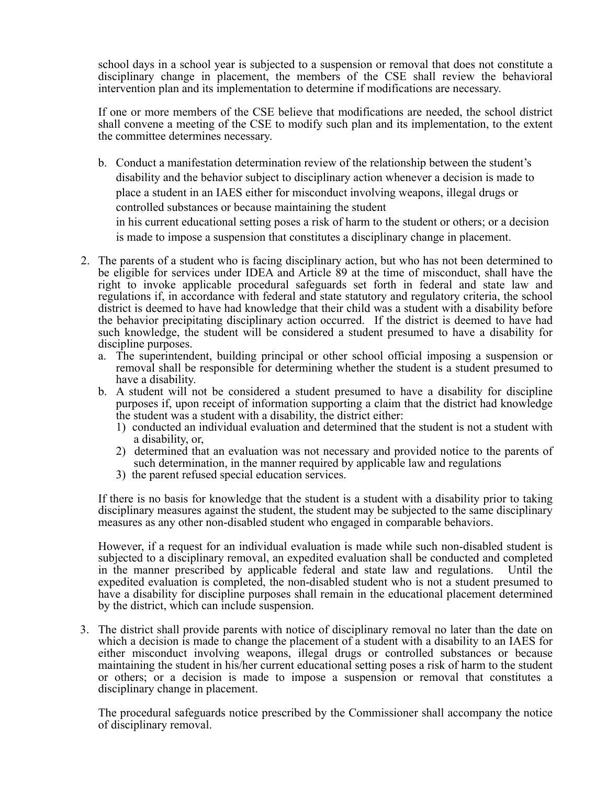school days in a school year is subjected to a suspension or removal that does not constitute a disciplinary change in placement, the members of the CSE shall review the behavioral intervention plan and its implementation to determine if modifications are necessary.

 If one or more members of the CSE believe that modifications are needed, the school district shall convene a meeting of the CSE to modify such plan and its implementation, to the extent the committee determines necessary.

b. Conduct a manifestation determination review of the relationship between the student's disability and the behavior subject to disciplinary action whenever a decision is made to place a student in an IAES either for misconduct involving weapons, illegal drugs or controlled substances or because maintaining the student

in his current educational setting poses a risk of harm to the student or others; or a decision is made to impose a suspension that constitutes a disciplinary change in placement.

- be eligible for services under IDEA and Article 89 at the time of misconduct, shall have the right to invoke applicable procedural safeguards set forth in federal and state law and regulations if, in accordance with federal and state statutory and regulatory criteria, the school district is deemed to have had knowledge that their child was a student with a disability before the behavior precipitating disciplinary action occurred. If the district is deemed to have had such knowledge, the student will be considered a student presumed to have a disability for 2. The parents of a student who is facing disciplinary action, but who has not been determined to discipline purposes.
	- a. The superintendent, building principal or other school official imposing a suspension or removal shall be responsible for determining whether the student is a student presumed to have a disability.
	- b. A student will not be considered a student presumed to have a disability for discipline purposes if, upon receipt of information supporting a claim that the district had knowledge the student was a student with a disability, the district either:
		- 1) conducted an individual evaluation and determined that the student is not a student with a disability, or,
		- 2) determined that an evaluation was not necessary and provided notice to the parents of such determination, in the manner required by applicable law and regulations
		- 3) the parent refused special education services.

 If there is no basis for knowledge that the student is a student with a disability prior to taking disciplinary measures against the student, the student may be subjected to the same disciplinary measures as any other non-disabled student who engaged in comparable behaviors.

 However, if a request for an individual evaluation is made while such non-disabled student is subjected to a disciplinary removal, an expedited evaluation shall be conducted and completed in the manner prescribed by applicable federal and state law and regulations. Until the expedited evaluation is completed, the non-disabled student who is not a student presumed to have a disability for discipline purposes shall remain in the educational placement determined by the district, which can include suspension.

 3. The district shall provide parents with notice of disciplinary removal no later than the date on which a decision is made to change the placement of a student with a disability to an IAES for either misconduct involving weapons, illegal drugs or controlled substances or because maintaining the student in his/her current educational setting poses a risk of harm to the student or others; or a decision is made to impose a suspension or removal that constitutes a disciplinary change in placement.

 The procedural safeguards notice prescribed by the Commissioner shall accompany the notice of disciplinary removal.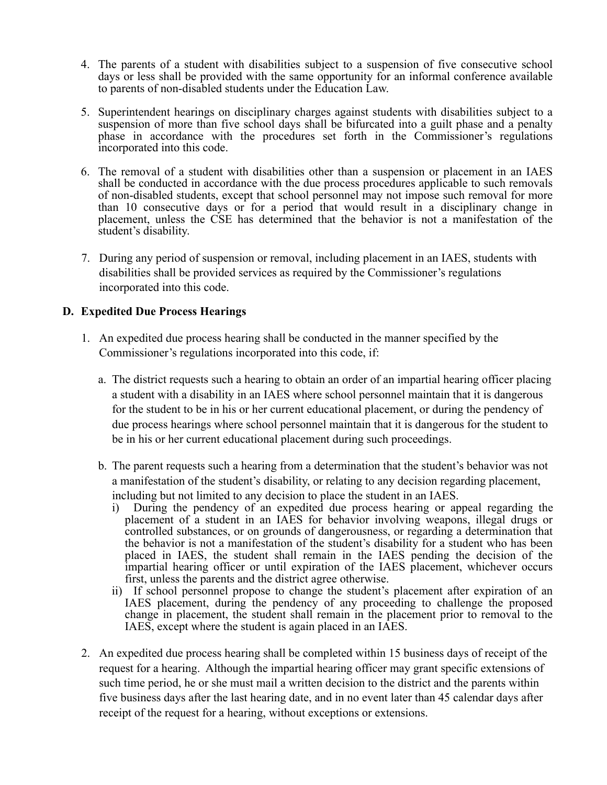- days or less shall be provided with the same opportunity for an informal conference available 4. The parents of a student with disabilities subject to a suspension of five consecutive school to parents of non-disabled students under the Education Law.
- 5. Superintendent hearings on disciplinary charges against students with disabilities subject to a suspension of more than five school days shall be bifurcated into a guilt phase and a penalty phase in accordance with the procedures set forth in the Commissioner's regulations incorporated into this code.
- shall be conducted in accordance with the due process procedures applicable to such removals of non-disabled students, except that school personnel may not impose such removal for more than 10 consecutive days or for a period that would result in a disciplinary change in placement, unless the CSE has determined that the behavior is not a manifestation of the 6. The removal of a student with disabilities other than a suspension or placement in an IAES student's disability.
- 7. During any period of suspension or removal, including placement in an IAES, students with disabilities shall be provided services as required by the Commissioner's regulations incorporated into this code.

#### **D. Expedited Due Process Hearings**

- 1. An expedited due process hearing shall be conducted in the manner specified by the Commissioner's regulations incorporated into this code, if:
	- a. The district requests such a hearing to obtain an order of an impartial hearing officer placing a student with a disability in an IAES where school personnel maintain that it is dangerous for the student to be in his or her current educational placement, or during the pendency of due process hearings where school personnel maintain that it is dangerous for the student to be in his or her current educational placement during such proceedings.
	- b. The parent requests such a hearing from a determination that the student's behavior was not a manifestation of the student's disability, or relating to any decision regarding placement, including but not limited to any decision to place the student in an IAES.
		- i) During the pendency of an expedited due process hearing or appeal regarding the placement of a student in an IAES for behavior involving weapons, illegal drugs or the behavior is not a manifestation of the student's disability for a student who has been placed in IAES, the student shall remain in the IAES pending the decision of the impartial hearing officer or until expiration of the IAES placement, whichever occurs controlled substances, or on grounds of dangerousness, or regarding a determination that first, unless the parents and the district agree otherwise.
		- IAES placement, during the pendency of any proceeding to challenge the proposed change in placement, the student shall remain in the placement prior to removal to the ii) If school personnel propose to change the student's placement after expiration of an IAES, except where the student is again placed in an IAES.
- 2. An expedited due process hearing shall be completed within 15 business days of receipt of the request for a hearing. Although the impartial hearing officer may grant specific extensions of such time period, he or she must mail a written decision to the district and the parents within five business days after the last hearing date, and in no event later than 45 calendar days after receipt of the request for a hearing, without exceptions or extensions.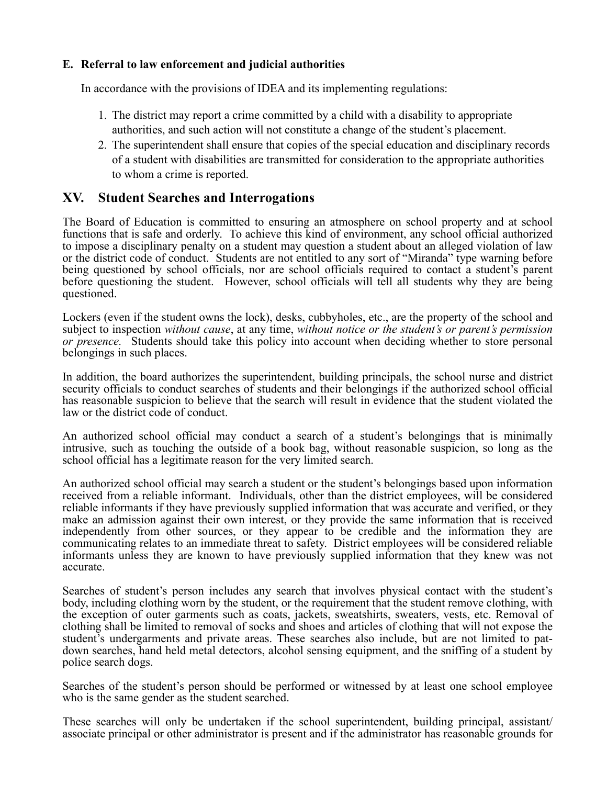#### **E. Referral to law enforcement and judicial authorities**

In accordance with the provisions of IDEA and its implementing regulations:

- 1. The district may report a crime committed by a child with a disability to appropriate authorities, and such action will not constitute a change of the student's placement.
- 2. The superintendent shall ensure that copies of the special education and disciplinary records of a student with disabilities are transmitted for consideration to the appropriate authorities to whom a crime is reported.

## **XV. Student Searches and Interrogations**

 The Board of Education is committed to ensuring an atmosphere on school property and at school functions that is safe and orderly. To achieve this kind of environment, any school official authorized to impose a disciplinary penalty on a student may question a student about an alleged violation of law or the district code of conduct. Students are not entitled to any sort of "Miranda" type warning before being questioned by school officials, nor are school officials required to contact a student's parent before questioning the student. However, school officials will tell all students why they are being questioned.

 Lockers (even if the student owns the lock), desks, cubbyholes, etc., are the property of the school and  subject to inspection *without cause*, at any time, *without notice or the student's or parent's permission or presence.* Students should take this policy into account when deciding whether to store personal belongings in such places.

 In addition, the board authorizes the superintendent, building principals, the school nurse and district security officials to conduct searches of students and their belongings if the authorized school official has reasonable suspicion to believe that the search will result in evidence that the student violated the law or the district code of conduct.

 An authorized school official may conduct a search of a student's belongings that is minimally intrusive, such as touching the outside of a book bag, without reasonable suspicion, so long as the school official has a legitimate reason for the very limited search.

 An authorized school official may search a student or the student's belongings based upon information received from a reliable informant. Individuals, other than the district employees, will be considered reliable informants if they have previously supplied information that was accurate and verified, or they make an admission against their own interest, or they provide the same information that is received independently from other sources, or they appear to be credible and the information they are communicating relates to an immediate threat to safety. District employees will be considered reliable informants unless they are known to have previously supplied information that they knew was not accurate.

 Searches of student's person includes any search that involves physical contact with the student's body, including clothing worn by the student, or the requirement that the student remove clothing, with the exception of outer garments such as coats, jackets, sweatshirts, sweaters, vests, etc. Removal of clothing shall be limited to removal of socks and shoes and articles of clothing that will not expose the student's undergarments and private areas. These searches also include, but are not limited to pat- down searches, hand held metal detectors, alcohol sensing equipment, and the sniffing of a student by police search dogs.

 Searches of the student's person should be performed or witnessed by at least one school employee who is the same gender as the student searched.

 These searches will only be undertaken if the school superintendent, building principal, assistant/ associate principal or other administrator is present and if the administrator has reasonable grounds for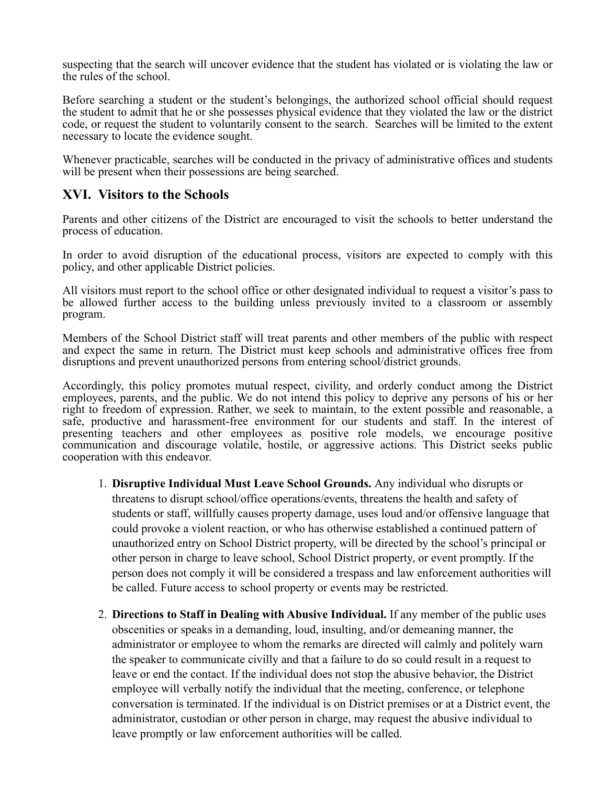suspecting that the search will uncover evidence that the student has violated or is violating the law or the rules of the school.

 Before searching a student or the student's belongings, the authorized school official should request the student to admit that he or she possesses physical evidence that they violated the law or the district code, or request the student to voluntarily consent to the search. Searches will be limited to the extent necessary to locate the evidence sought.

 Whenever practicable, searches will be conducted in the privacy of administrative offices and students will be present when their possessions are being searched.

## **XVI. Visitors to the Schools**

 Parents and other citizens of the District are encouraged to visit the schools to better understand the process of education.

 In order to avoid disruption of the educational process, visitors are expected to comply with this policy, and other applicable District policies.

 All visitors must report to the school office or other designated individual to request a visitor's pass to be allowed further access to the building unless previously invited to a classroom or assembly program.

 Members of the School District staff will treat parents and other members of the public with respect and expect the same in return. The District must keep schools and administrative offices free from disruptions and prevent unauthorized persons from entering school/district grounds.

 Accordingly, this policy promotes mutual respect, civility, and orderly conduct among the District employees, parents, and the public. We do not intend this policy to deprive any persons of his or her right to freedom of expression. Rather, we seek to maintain, to the extent possible and reasonable, a safe, productive and harassment-free environment for our students and staff. In the interest of presenting teachers and other employees as positive role models, we encourage positive communication and discourage volatile, hostile, or aggressive actions. This District seeks public cooperation with this endeavor.

- 1. **Disruptive Individual Must Leave School Grounds.** Any individual who disrupts or threatens to disrupt school/office operations/events, threatens the health and safety of students or staff, willfully causes property damage, uses loud and/or offensive language that could provoke a violent reaction, or who has otherwise established a continued pattern of unauthorized entry on School District property, will be directed by the school's principal or other person in charge to leave school, School District property, or event promptly. If the person does not comply it will be considered a trespass and law enforcement authorities will be called. Future access to school property or events may be restricted.
- 2. **Directions to Staff in Dealing with Abusive Individual.** If any member of the public uses obscenities or speaks in a demanding, loud, insulting, and/or demeaning manner, the administrator or employee to whom the remarks are directed will calmly and politely warn the speaker to communicate civilly and that a failure to do so could result in a request to leave or end the contact. If the individual does not stop the abusive behavior, the District employee will verbally notify the individual that the meeting, conference, or telephone conversation is terminated. If the individual is on District premises or at a District event, the administrator, custodian or other person in charge, may request the abusive individual to leave promptly or law enforcement authorities will be called.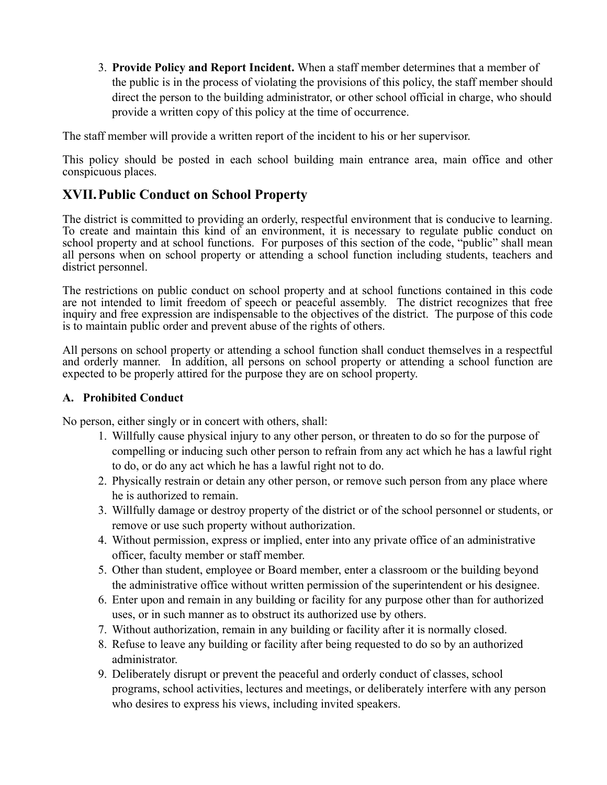3. **Provide Policy and Report Incident.** When a staff member determines that a member of the public is in the process of violating the provisions of this policy, the staff member should direct the person to the building administrator, or other school official in charge, who should provide a written copy of this policy at the time of occurrence.

The staff member will provide a written report of the incident to his or her supervisor.

This policy should be posted in each school building main entrance area, main office and other conspicuous places.

## **XVII. Public Conduct on School Property**

 The district is committed to providing an orderly, respectful environment that is conducive to learning. To create and maintain this kind of an environment, it is necessary to regulate public conduct on school property and at school functions. For purposes of this section of the code, "public" shall mean all persons when on school property or attending a school function including students, teachers and district personnel.

 The restrictions on public conduct on school property and at school functions contained in this code are not intended to limit freedom of speech or peaceful assembly. The district recognizes that free inquiry and free expression are indispensable to the objectives of the district. The purpose of this code is to maintain public order and prevent abuse of the rights of others.

 All persons on school property or attending a school function shall conduct themselves in a respectful and orderly manner. In addition, all persons on school property or attending a school function are expected to be properly attired for the purpose they are on school property.

#### **A. Prohibited Conduct**

No person, either singly or in concert with others, shall:

- 1. Willfully cause physical injury to any other person, or threaten to do so for the purpose of compelling or inducing such other person to refrain from any act which he has a lawful right to do, or do any act which he has a lawful right not to do.
- 2. Physically restrain or detain any other person, or remove such person from any place where he is authorized to remain.
- 3. Willfully damage or destroy property of the district or of the school personnel or students, or remove or use such property without authorization.
- 4. Without permission, express or implied, enter into any private office of an administrative officer, faculty member or staff member.
- 5. Other than student, employee or Board member, enter a classroom or the building beyond the administrative office without written permission of the superintendent or his designee.
- 6. Enter upon and remain in any building or facility for any purpose other than for authorized uses, or in such manner as to obstruct its authorized use by others.
- 7. Without authorization, remain in any building or facility after it is normally closed.
- 8. Refuse to leave any building or facility after being requested to do so by an authorized administrator.
- 9. Deliberately disrupt or prevent the peaceful and orderly conduct of classes, school programs, school activities, lectures and meetings, or deliberately interfere with any person who desires to express his views, including invited speakers.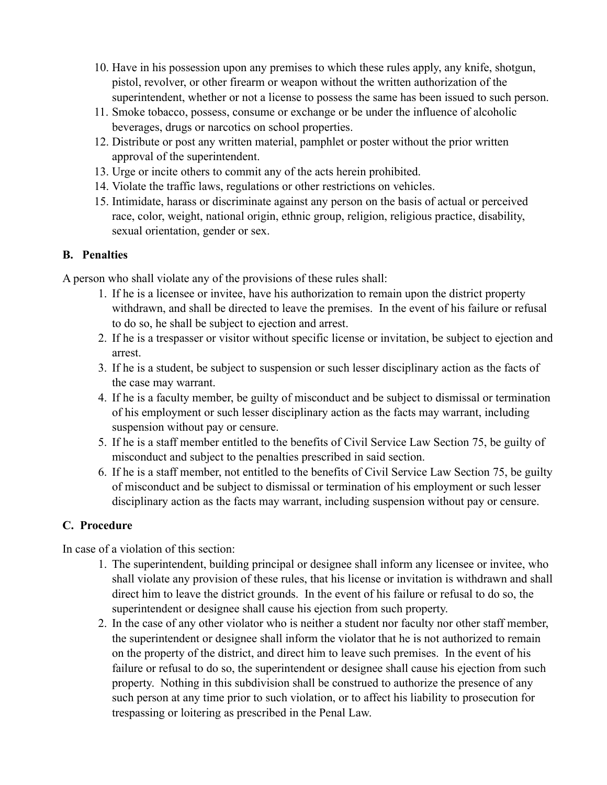- 10. Have in his possession upon any premises to which these rules apply, any knife, shotgun, pistol, revolver, or other firearm or weapon without the written authorization of the superintendent, whether or not a license to possess the same has been issued to such person.
- 11. Smoke tobacco, possess, consume or exchange or be under the influence of alcoholic beverages, drugs or narcotics on school properties.
- 12. Distribute or post any written material, pamphlet or poster without the prior written approval of the superintendent.
- 13. Urge or incite others to commit any of the acts herein prohibited.
- 14. Violate the traffic laws, regulations or other restrictions on vehicles.
- 15. Intimidate, harass or discriminate against any person on the basis of actual or perceived race, color, weight, national origin, ethnic group, religion, religious practice, disability, sexual orientation, gender or sex.

## **B. Penalties**

A person who shall violate any of the provisions of these rules shall:

- 1. If he is a licensee or invitee, have his authorization to remain upon the district property withdrawn, and shall be directed to leave the premises. In the event of his failure or refusal to do so, he shall be subject to ejection and arrest.
- 2. If he is a trespasser or visitor without specific license or invitation, be subject to ejection and arrest.
- 3. If he is a student, be subject to suspension or such lesser disciplinary action as the facts of the case may warrant.
- 4. If he is a faculty member, be guilty of misconduct and be subject to dismissal or termination of his employment or such lesser disciplinary action as the facts may warrant, including suspension without pay or censure.
- 5. If he is a staff member entitled to the benefits of Civil Service Law Section 75, be guilty of misconduct and subject to the penalties prescribed in said section.
- 6. If he is a staff member, not entitled to the benefits of Civil Service Law Section 75, be guilty of misconduct and be subject to dismissal or termination of his employment or such lesser disciplinary action as the facts may warrant, including suspension without pay or censure.

## **C. Procedure**

In case of a violation of this section:

- 1. The superintendent, building principal or designee shall inform any licensee or invitee, who shall violate any provision of these rules, that his license or invitation is withdrawn and shall direct him to leave the district grounds. In the event of his failure or refusal to do so, the superintendent or designee shall cause his ejection from such property.
- 2. In the case of any other violator who is neither a student nor faculty nor other staff member, the superintendent or designee shall inform the violator that he is not authorized to remain on the property of the district, and direct him to leave such premises. In the event of his failure or refusal to do so, the superintendent or designee shall cause his ejection from such property. Nothing in this subdivision shall be construed to authorize the presence of any such person at any time prior to such violation, or to affect his liability to prosecution for trespassing or loitering as prescribed in the Penal Law.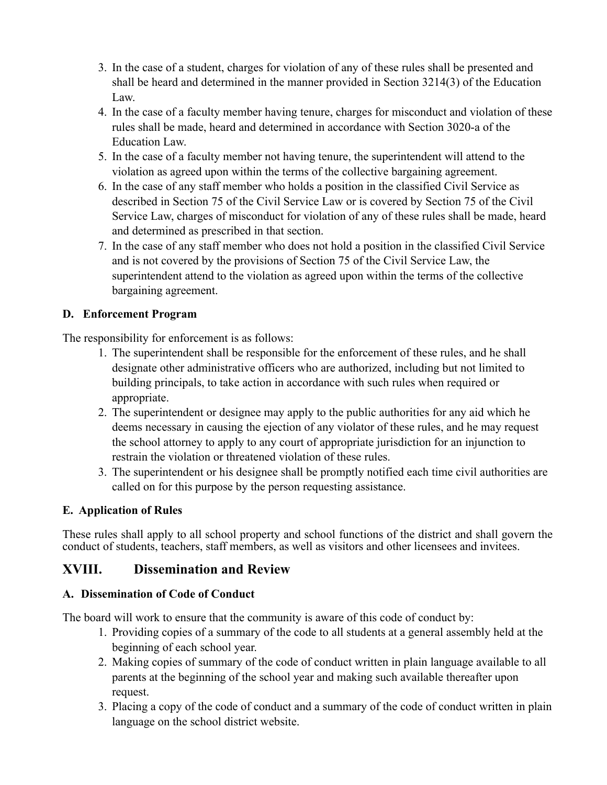- 3. In the case of a student, charges for violation of any of these rules shall be presented and shall be heard and determined in the manner provided in Section 3214(3) of the Education Law.
- 4. In the case of a faculty member having tenure, charges for misconduct and violation of these rules shall be made, heard and determined in accordance with Section 3020-a of the Education Law.
- 5. In the case of a faculty member not having tenure, the superintendent will attend to the violation as agreed upon within the terms of the collective bargaining agreement.
- 6. In the case of any staff member who holds a position in the classified Civil Service as described in Section 75 of the Civil Service Law or is covered by Section 75 of the Civil Service Law, charges of misconduct for violation of any of these rules shall be made, heard and determined as prescribed in that section.
- 7. In the case of any staff member who does not hold a position in the classified Civil Service and is not covered by the provisions of Section 75 of the Civil Service Law, the superintendent attend to the violation as agreed upon within the terms of the collective bargaining agreement.

## **D. Enforcement Program**

The responsibility for enforcement is as follows:

- 1. The superintendent shall be responsible for the enforcement of these rules, and he shall designate other administrative officers who are authorized, including but not limited to building principals, to take action in accordance with such rules when required or appropriate.
- 2. The superintendent or designee may apply to the public authorities for any aid which he deems necessary in causing the ejection of any violator of these rules, and he may request the school attorney to apply to any court of appropriate jurisdiction for an injunction to restrain the violation or threatened violation of these rules.
- 3. The superintendent or his designee shall be promptly notified each time civil authorities are called on for this purpose by the person requesting assistance.

## **E. Application of Rules**

 These rules shall apply to all school property and school functions of the district and shall govern the conduct of students, teachers, staff members, as well as visitors and other licensees and invitees.

## **XVIII. Dissemination and Review**

## **A. Dissemination of Code of Conduct**

The board will work to ensure that the community is aware of this code of conduct by:

- 1. Providing copies of a summary of the code to all students at a general assembly held at the beginning of each school year.
- 2. Making copies of summary of the code of conduct written in plain language available to all parents at the beginning of the school year and making such available thereafter upon request.
- 3. Placing a copy of the code of conduct and a summary of the code of conduct written in plain language on the school district website.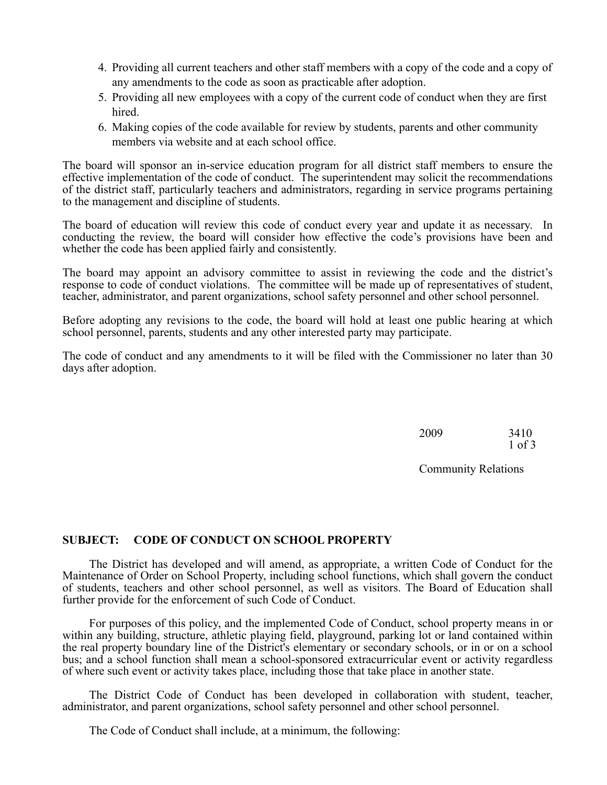- 4. Providing all current teachers and other staff members with a copy of the code and a copy of any amendments to the code as soon as practicable after adoption.
- 5. Providing all new employees with a copy of the current code of conduct when they are first hired.
- 6. Making copies of the code available for review by students, parents and other community members via website and at each school office.

 The board will sponsor an in-service education program for all district staff members to ensure the effective implementation of the code of conduct. The superintendent may solicit the recommendations of the district staff, particularly teachers and administrators, regarding in service programs pertaining to the management and discipline of students.

 The board of education will review this code of conduct every year and update it as necessary. In conducting the review, the board will consider how effective the code's provisions have been and whether the code has been applied fairly and consistently.

 The board may appoint an advisory committee to assist in reviewing the code and the district's response to code of conduct violations. The committee will be made up of representatives of student, teacher, administrator, and parent organizations, school safety personnel and other school personnel.

 Before adopting any revisions to the code, the board will hold at least one public hearing at which school personnel, parents, students and any other interested party may participate.

 The code of conduct and any amendments to it will be filed with the Commissioner no later than 30 days after adoption.

| 2009 | 3410   |
|------|--------|
|      | 1 of 3 |

Community Relations

#### **SUBJECT: CODE OF CONDUCT ON SCHOOL PROPERTY**

 Maintenance of Order on School Property, including school functions, which shall govern the conduct of students, teachers and other school personnel, as well as visitors. The Board of Education shall The District has developed and will amend, as appropriate, a written Code of Conduct for the further provide for the enforcement of such Code of Conduct.

 For purposes of this policy, and the implemented Code of Conduct, school property means in or the real property boundary line of the District's elementary or secondary schools, or in or on a school bus; and a school function shall mean a school-sponsored extracurricular event or activity regardless within any building, structure, athletic playing field, playground, parking lot or land contained within of where such event or activity takes place, including those that take place in another state.

The District Code of Conduct has been developed in collaboration with student, teacher, administrator, and parent organizations, school safety personnel and other school personnel.

The Code of Conduct shall include, at a minimum, the following: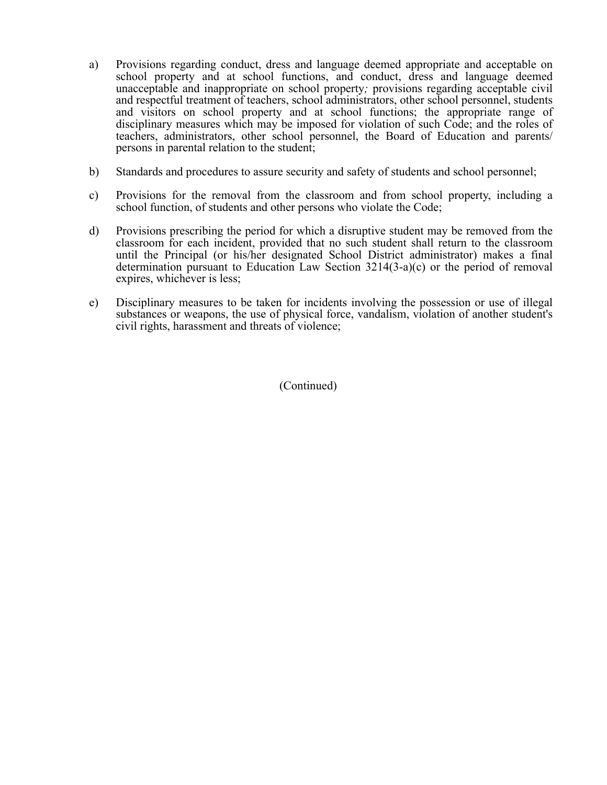- school property and at school functions, and conduct, dress and language deemed unacceptable and inappropriate on school property*;* provisions regarding acceptable civil and respectful treatment of teachers, school administrators, other school personnel, students and visitors on school property and at school functions; the appropriate range of disciplinary measures which may be imposed for violation of such Code; and the roles of a) Provisions regarding conduct, dress and language deemed appropriate and acceptable on teachers, administrators, other school personnel, the Board of Education and parents/ persons in parental relation to the student;
- b) Standards and procedures to assure security and safety of students and school personnel;
- c) Provisions for the removal from the classroom and from school property, including a school function, of students and other persons who violate the Code;
- d) Provisions prescribing the period for which a disruptive student may be removed from the classroom for each incident, provided that no such student shall return to the classroom until the Principal (or his/her designated School District administrator) makes a final determination pursuant to Education Law Section 3214(3-a)(c) or the period of removal expires, whichever is less;
- e) Disciplinary measures to be taken for incidents involving the possession or use of illegal substances or weapons, the use of physical force, vandalism, violation of another student's civil rights, harassment and threats of violence;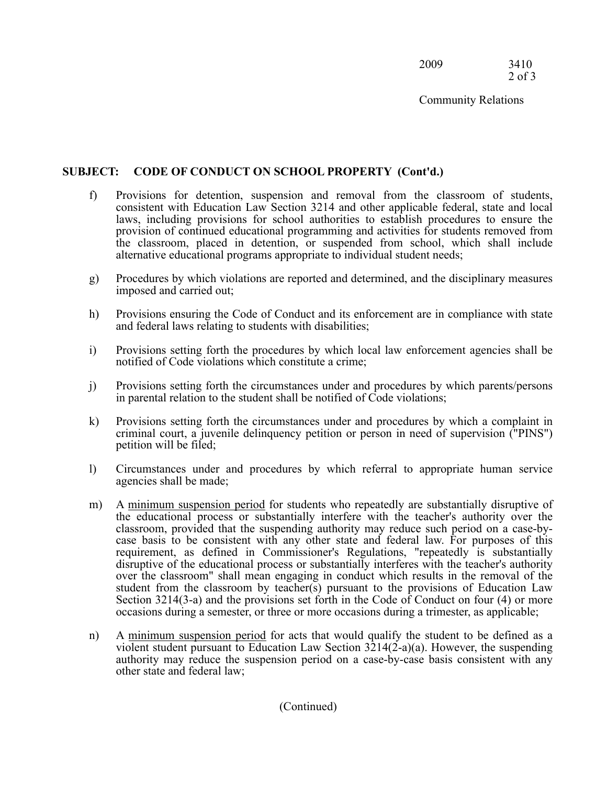2009 3410 2 of 3

Community Relations

## **SUBJECT: CODE OF CONDUCT ON SCHOOL PROPERTY (Cont'd.)**

- f) Provisions for detention, suspension and removal from the classroom of students, consistent with Education Law Section 3214 and other applicable federal, state and local laws, including provisions for school authorities to establish procedures to ensure the provision of continued educational programming and activities for students removed from the classroom, placed in detention, or suspended from school, which shall include alternative educational programs appropriate to individual student needs;
- g) Procedures by which violations are reported and determined, and the disciplinary measures imposed and carried out;
- h) Provisions ensuring the Code of Conduct and its enforcement are in compliance with state and federal laws relating to students with disabilities;
- i) Provisions setting forth the procedures by which local law enforcement agencies shall be notified of Code violations which constitute a crime;
- j) Provisions setting forth the circumstances under and procedures by which parents/persons in parental relation to the student shall be notified of Code violations;
- k) Provisions setting forth the circumstances under and procedures by which a complaint in criminal court, a juvenile delinquency petition or person in need of supervision ("PINS") petition will be filed;
- l) Circumstances under and procedures by which referral to appropriate human service agencies shall be made;
- m) A minimum suspension period for students who repeatedly are substantially disruptive of the educational process or substantially interfere with the teacher's authority over the classroom, provided that the suspending authority may reduce such period on a case-by- case basis to be consistent with any other state and federal law. For purposes of this disruptive of the educational process or substantially interferes with the teacher's authority over the classroom" shall mean engaging in conduct which results in the removal of the student from the classroom by teacher(s) pursuant to the provisions of Education Law Section 3214(3-a) and the provisions set forth in the Code of Conduct on four (4) or more requirement, as defined in Commissioner's Regulations, "repeatedly is substantially occasions during a semester, or three or more occasions during a trimester, as applicable;
- n) A minimum suspension period for acts that would qualify the student to be defined as a violent student pursuant to Education Law Section 3214(2-a)(a). However, the suspending authority may reduce the suspension period on a case-by-case basis consistent with any other state and federal law;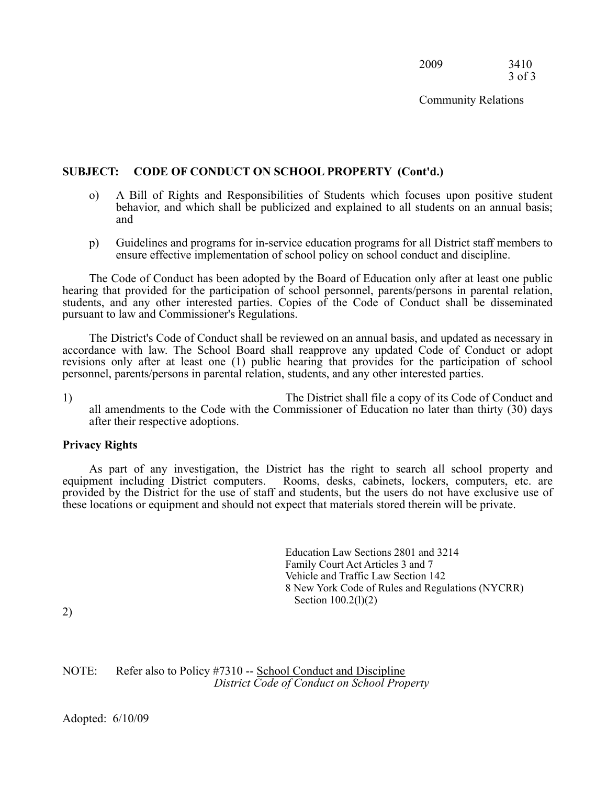2009 3410 3 of 3

Community Relations

#### **SUBJECT: CODE OF CONDUCT ON SCHOOL PROPERTY (Cont'd.)**

- o) A Bill of Rights and Responsibilities of Students which focuses upon positive student behavior, and which shall be publicized and explained to all students on an annual basis; and
- p) Guidelines and programs for in-service education programs for all District staff members to ensure effective implementation of school policy on school conduct and discipline.

 hearing that provided for the participation of school personnel, parents/persons in parental relation, students, and any other interested parties. Copies of the Code of Conduct shall be disseminated The Code of Conduct has been adopted by the Board of Education only after at least one public pursuant to law and Commissioner's Regulations.

 accordance with law. The School Board shall reapprove any updated Code of Conduct or adopt revisions only after at least one (1) public hearing that provides for the participation of school The District's Code of Conduct shall be reviewed on an annual basis, and updated as necessary in personnel, parents/persons in parental relation, students, and any other interested parties.

 1) The District shall file a copy of its Code of Conduct and all amendments to the Code with the Commissioner of Education no later than thirty (30) days after their respective adoptions.

#### **Privacy Rights**

 provided by the District for the use of staff and students, but the users do not have exclusive use of As part of any investigation, the District has the right to search all school property and equipment including District computers. Rooms, desks, cabinets, lockers, computers, etc. are these locations or equipment and should not expect that materials stored therein will be private.

> Family Court Act Articles 3 and 7 Education Law Sections 2801 and 3214 Vehicle and Traffic Law Section 142 8 New York Code of Rules and Regulations (NYCRR) Section 100.2(l)(2)

2)

NOTE: Refer also to Policy #7310 -- School Conduct and Discipline *District Code of Conduct on School Property*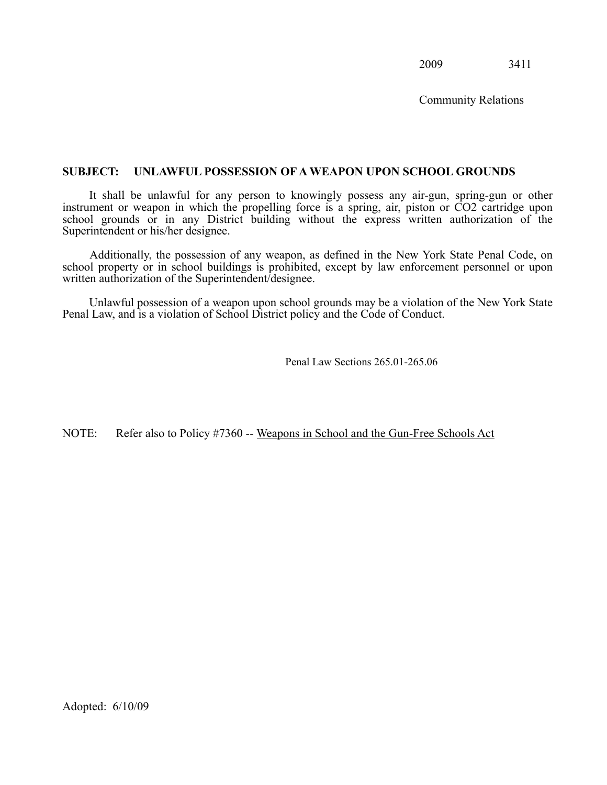Community Relations

#### <span id="page-51-0"></span> **SUBJECT: UNLAWFUL POSSESSION OF A WEAPON UPON SCHOOL GROUNDS**

 It shall be unlawful for any person to knowingly possess any air-gun, spring-gun or other instrument or weapon in which the propelling force is a spring, air, piston or CO2 cartridge upon school grounds or in any District building without the express written authorization of the Superintendent or his/her designee.

 Additionally, the possession of any weapon, as defined in the New York State Penal Code, on school property or in school buildings is prohibited, except by law enforcement personnel or upon written authorization of the Superintendent/designee.

 Unlawful possession of a weapon upon school grounds may be a violation of the New York State Penal Law, and is a violation of School District policy and the Code of Conduct.

Penal Law Sections 265.01-265.06

NOTE: Refer also to Policy #7360 -- Weapons in School and the Gun-Free Schools Act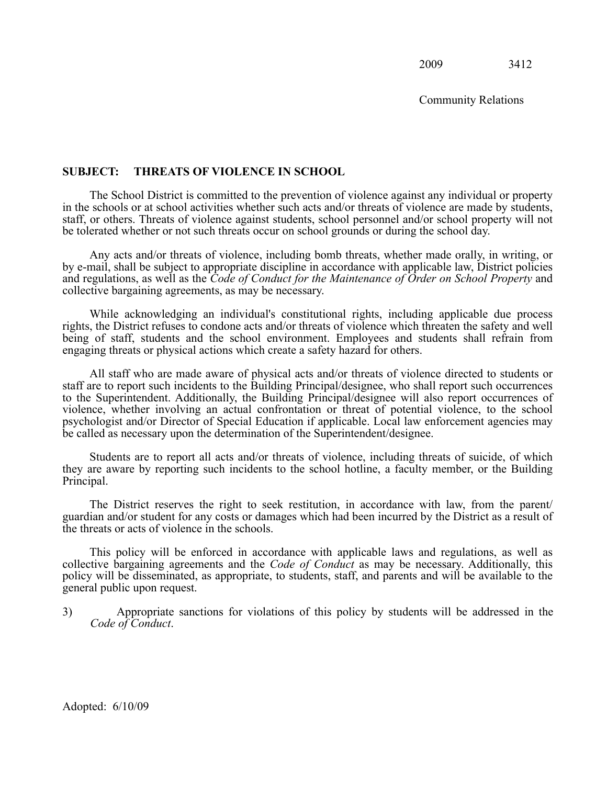Community Relations

#### <span id="page-52-0"></span>**SUBJECT: THREATS OF VIOLENCE IN SCHOOL**

 in the schools or at school activities whether such acts and/or threats of violence are made by students, staff, or others. Threats of violence against students, school personnel and/or school property will not The School District is committed to the prevention of violence against any individual or property be tolerated whether or not such threats occur on school grounds or during the school day.

 by e-mail, shall be subject to appropriate discipline in accordance with applicable law, District policies and regulations, as well as the *Code of Conduct for the Maintenance of Order on School Property* and Any acts and/or threats of violence, including bomb threats, whether made orally, in writing, or collective bargaining agreements, as may be necessary.

 rights, the District refuses to condone acts and/or threats of violence which threaten the safety and well being of staff, students and the school environment. Employees and students shall refrain from While acknowledging an individual's constitutional rights, including applicable due process engaging threats or physical actions which create a safety hazard for others.

 staff are to report such incidents to the Building Principal/designee, who shall report such occurrences to the Superintendent. Additionally, the Building Principal/designee will also report occurrences of violence, whether involving an actual confrontation or threat of potential violence, to the school psychologist and/or Director of Special Education if applicable. Local law enforcement agencies may All staff who are made aware of physical acts and/or threats of violence directed to students or be called as necessary upon the determination of the Superintendent/designee.

 Students are to report all acts and/or threats of violence, including threats of suicide, of which they are aware by reporting such incidents to the school hotline, a faculty member, or the Building Principal.

 guardian and/or student for any costs or damages which had been incurred by the District as a result of The District reserves the right to seek restitution, in accordance with law, from the parent/ the threats or acts of violence in the schools.

 collective bargaining agreements and the *Code of Conduct* as may be necessary. Additionally, this policy will be disseminated, as appropriate, to students, staff, and parents and will be available to the This policy will be enforced in accordance with applicable laws and regulations, as well as general public upon request.

 3) Appropriate sanctions for violations of this policy by students will be addressed in the *Code of Conduct*.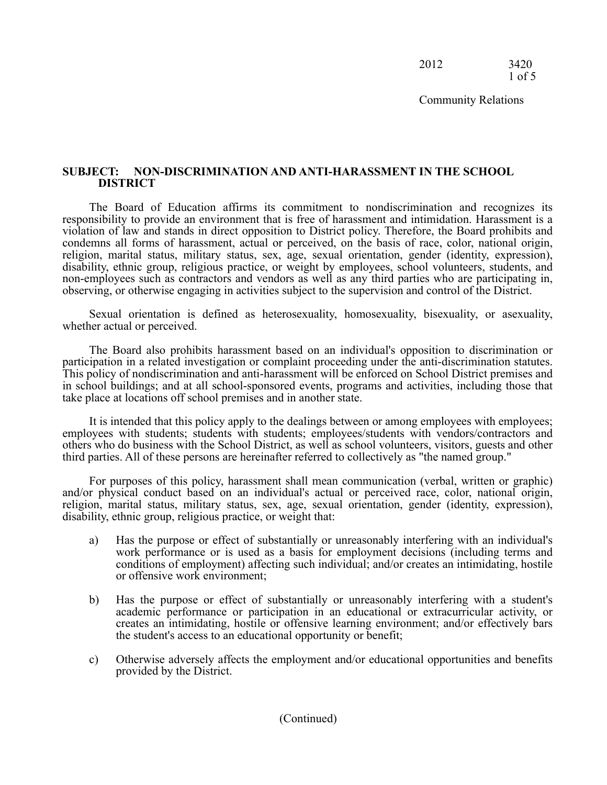2012 3420 1 of 5

Community Relations

#### **SUBJECT: NON-DISCRIMINATION AND ANTI-HARASSMENT IN THE SCHOOL DISTRICT**

 responsibility to provide an environment that is free of harassment and intimidation. Harassment is a violation of law and stands in direct opposition to District policy. Therefore, the Board prohibits and condemns all forms of harassment, actual or perceived, on the basis of race, color, national origin, non-employees such as contractors and vendors as well as any third parties who are participating in, The Board of Education affirms its commitment to nondiscrimination and recognizes its religion, marital status, military status, sex, age, sexual orientation, gender (identity, expression), disability, ethnic group, religious practice, or weight by employees, school volunteers, students, and observing, or otherwise engaging in activities subject to the supervision and control of the District.

Sexual orientation is defined as heterosexuality, homosexuality, bisexuality, or asexuality, whether actual or perceived.

 This policy of nondiscrimination and anti-harassment will be enforced on School District premises and in school buildings; and at all school-sponsored events, programs and activities, including those that The Board also prohibits harassment based on an individual's opposition to discrimination or participation in a related investigation or complaint proceeding under the anti-discrimination statutes. take place at locations off school premises and in another state.

 employees with students; students with students; employees/students with vendors/contractors and others who do business with the School District, as well as school volunteers, visitors, guests and other It is intended that this policy apply to the dealings between or among employees with employees; third parties. All of these persons are hereinafter referred to collectively as "the named group."

 For purposes of this policy, harassment shall mean communication (verbal, written or graphic) and/or physical conduct based on an individual's actual or perceived race, color, national origin, religion, marital status, military status, sex, age, sexual orientation, gender (identity, expression), disability, ethnic group, religious practice, or weight that:

- a) Has the purpose or effect of substantially or unreasonably interfering with an individual's work performance or is used as a basis for employment decisions (including terms and or offensive work environment; conditions of employment) affecting such individual; and/or creates an intimidating, hostile
- or offensive work environment;<br>
b) Has the purpose or effect of substantially or unreasonably interfering with a student's creates an intimidating, hostile or offensive learning environment; and/or effectively bars academic performance or participation in an educational or extracurricular activity, or the student's access to an educational opportunity or benefit;
- c) Otherwise adversely affects the employment and/or educational opportunities and benefits provided by the District.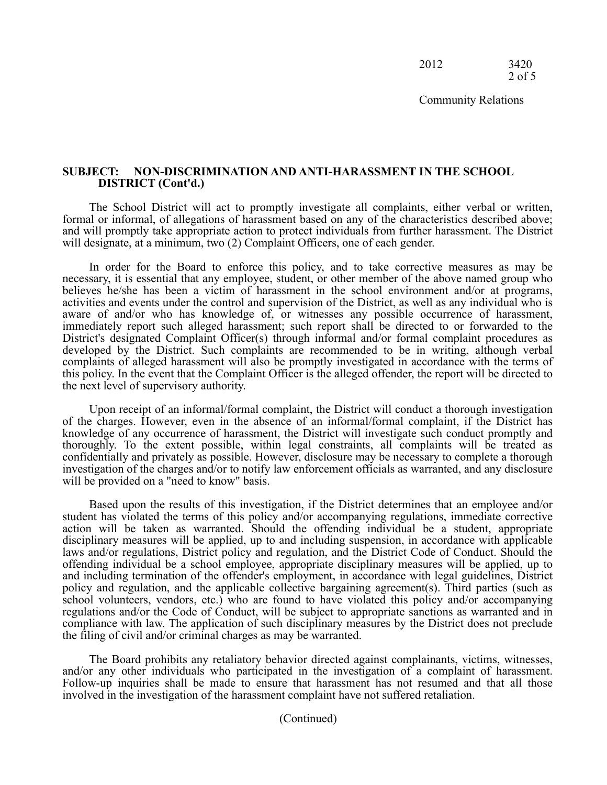2012 3420 2 of 5

Community Relations

#### **SUBJECT: NON-DISCRIMINATION AND ANTI-HARASSMENT IN THE SCHOOL DISTRICT (Cont'd.)**

 and will promptly take appropriate action to protect individuals from further harassment. The District The School District will act to promptly investigate all complaints, either verbal or written, formal or informal, of allegations of harassment based on any of the characteristics described above; will designate, at a minimum, two (2) Complaint Officers, one of each gender.

 In order for the Board to enforce this policy, and to take corrective measures as may be necessary, it is essential that any employee, student, or other member of the above named group who believes he/she has been a victim of harassment in the school environment and/or at programs, activities and events under the control and supervision of the District, as well as any individual who is aware of and/or who has knowledge of, or witnesses any possible occurrence of harassment, immediately report such alleged harassment; such report shall be directed to or forwarded to the District's designated Complaint Officer(s) through informal and/or formal complaint procedures as developed by the District. Such complaints are recommended to be in writing, although verbal complaints of alleged harassment will also be promptly investigated in accordance with the terms of this policy. In the event that the Complaint Officer is the alleged offender, the report will be directed to the next level of supervisory authority.

 Upon receipt of an informal/formal complaint, the District will conduct a thorough investigation of the charges. However, even in the absence of an informal/formal complaint, if the District has knowledge of any occurrence of harassment, the District will investigate such conduct promptly and thoroughly. To the extent possible, within legal constraints, all complaints will be treated as confidentially and privately as possible. However, disclosure may be necessary to complete a thorough investigation of the charges and/or to notify law enforcement officials as warranted, and any disclosure will be provided on a "need to know" basis.

 Based upon the results of this investigation, if the District determines that an employee and/or student has violated the terms of this policy and/or accompanying regulations, immediate corrective action will be taken as warranted. Should the offending individual be a student, appropriate disciplinary measures will be applied, up to and including suspension, in accordance with applicable laws and/or regulations, District policy and regulation, and the District Code of Conduct. Should the offending individual be a school employee, appropriate disciplinary measures will be applied, up to and including termination of the offender's employment, in accordance with legal guidelines, District policy and regulation, and the applicable collective bargaining agreement(s). Third parties (such as regulations and/or the Code of Conduct, will be subject to appropriate sanctions as warranted and in compliance with law. The application of such disciplinary measures by the District does not preclude school volunteers, vendors, etc.) who are found to have violated this policy and/or accompanying the filing of civil and/or criminal charges as may be warranted.

 and/or any other individuals who participated in the investigation of a complaint of harassment. Follow-up inquiries shall be made to ensure that harassment has not resumed and that all those The Board prohibits any retaliatory behavior directed against complainants, victims, witnesses, involved in the investigation of the harassment complaint have not suffered retaliation.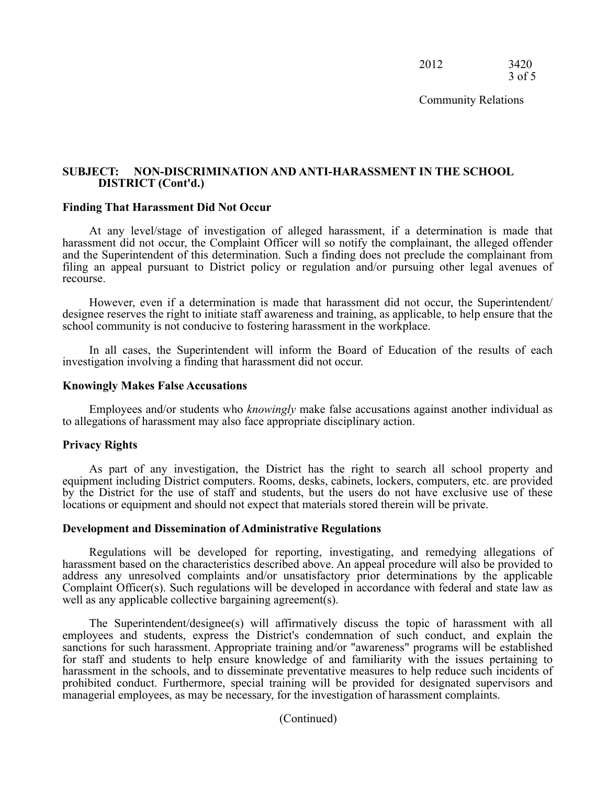2012 3420 3 of 5

Community Relations

#### **SUBJECT: NON-DISCRIMINATION AND ANTI-HARASSMENT IN THE SCHOOL DISTRICT (Cont'd.)**

#### **Finding That Harassment Did Not Occur**

 harassment did not occur, the Complaint Officer will so notify the complainant, the alleged offender and the Superintendent of this determination. Such a finding does not preclude the complainant from filing an appeal pursuant to District policy or regulation and/or pursuing other legal avenues of At any level/stage of investigation of alleged harassment, if a determination is made that recourse.

 However, even if a determination is made that harassment did not occur, the Superintendent/ designee reserves the right to initiate staff awareness and training, as applicable, to help ensure that the school community is not conducive to fostering harassment in the workplace.

In all cases, the Superintendent will inform the Board of Education of the results of each investigation involving a finding that harassment did not occur.

#### **Knowingly Makes False Accusations**

 Employees and/or students who *knowingly* make false accusations against another individual as to allegations of harassment may also face appropriate disciplinary action.

#### **Privacy Rights**

 by the District for the use of staff and students, but the users do not have exclusive use of these As part of any investigation, the District has the right to search all school property and equipment including District computers. Rooms, desks, cabinets, lockers, computers, etc. are provided locations or equipment and should not expect that materials stored therein will be private.

#### **Development and Dissemination of Administrative Regulations**

 Regulations will be developed for reporting, investigating, and remedying allegations of harassment based on the characteristics described above. An appeal procedure will also be provided to address any unresolved complaints and/or unsatisfactory prior determinations by the applicable Complaint Officer(s). Such regulations will be developed in accordance with federal and state law as well as any applicable collective bargaining agreement(s).

 employees and students, express the District's condemnation of such conduct, and explain the harassment in the schools, and to disseminate preventative measures to help reduce such incidents of prohibited conduct. Furthermore, special training will be provided for designated supervisors and The Superintendent/designee(s) will affirmatively discuss the topic of harassment with all sanctions for such harassment. Appropriate training and/or "awareness" programs will be established for staff and students to help ensure knowledge of and familiarity with the issues pertaining to managerial employees, as may be necessary, for the investigation of harassment complaints.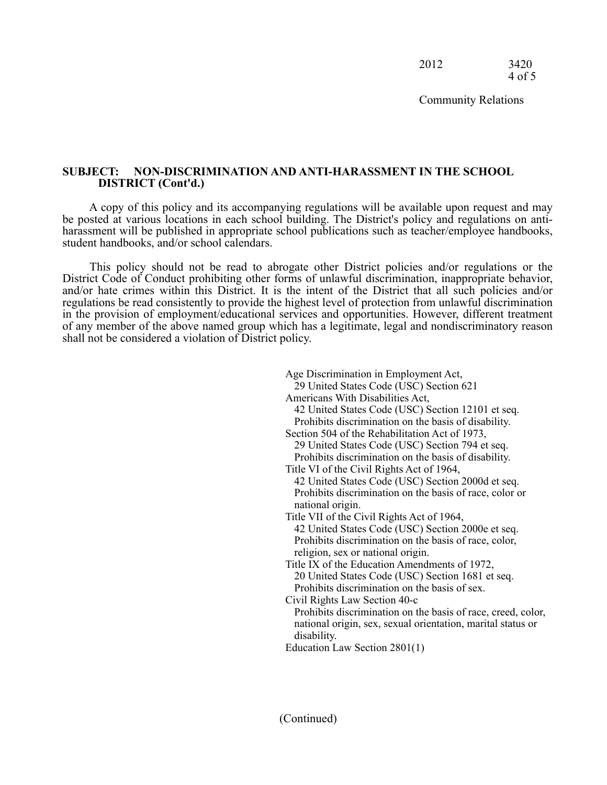Community Relations

#### **SUBJECT: NON-DISCRIMINATION AND ANTI-HARASSMENT IN THE SCHOOL DISTRICT (Cont'd.)**

 be posted at various locations in each school building. The District's policy and regulations on anti- harassment will be published in appropriate school publications such as teacher/employee handbooks, A copy of this policy and its accompanying regulations will be available upon request and may student handbooks, and/or school calendars.

 District Code of Conduct prohibiting other forms of unlawful discrimination, inappropriate behavior, and/or hate crimes within this District. It is the intent of the District that all such policies and/or regulations be read consistently to provide the highest level of protection from unlawful discrimination in the provision of employment/educational services and opportunities. However, different treatment of any member of the above named group which has a legitimate, legal and nondiscriminatory reason This policy should not be read to abrogate other District policies and/or regulations or the shall not be considered a violation of District policy.

|                  | Age Discrimination in Employment Act,                        |  |
|------------------|--------------------------------------------------------------|--|
|                  | 29 United States Code (USC) Section 621                      |  |
|                  | Americans With Disabilities Act,                             |  |
|                  | 42 United States Code (USC) Section 12101 et seq.            |  |
|                  | Prohibits discrimination on the basis of disability.         |  |
|                  | Section 504 of the Rehabilitation Act of 1973,               |  |
|                  | 29 United States Code (USC) Section 794 et seq.              |  |
|                  | Prohibits discrimination on the basis of disability.         |  |
|                  | Title VI of the Civil Rights Act of 1964,                    |  |
|                  | 42 United States Code (USC) Section 2000d et seq.            |  |
|                  | Prohibits discrimination on the basis of race, color or      |  |
| national origin. |                                                              |  |
|                  | Title VII of the Civil Rights Act of 1964,                   |  |
|                  | 42 United States Code (USC) Section 2000e et seq.            |  |
|                  | Prohibits discrimination on the basis of race, color,        |  |
|                  | religion, sex or national origin.                            |  |
|                  | Title IX of the Education Amendments of 1972,                |  |
|                  | 20 United States Code (USC) Section 1681 et seq.             |  |
|                  | Prohibits discrimination on the basis of sex.                |  |
|                  | Civil Rights Law Section 40-c                                |  |
|                  | Prohibits discrimination on the basis of race, creed, color, |  |
|                  | national origin, sex, sexual orientation, marital status or  |  |
| disability.      |                                                              |  |
|                  | Education Law Section 2801(1)                                |  |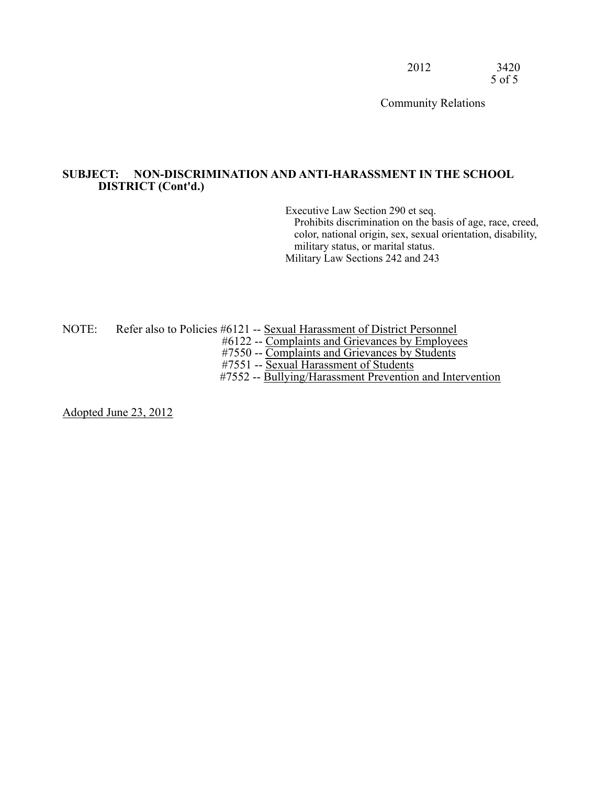Community Relations

#### **SUBJECT: NON-DISCRIMINATION AND ANTI-HARASSMENT IN THE SCHOOL DISTRICT (Cont'd.)**

Executive Law Section 290 et seq.

Prohibits discrimination on the basis of age, race, creed, color, national origin, sex, sexual orientation, disability, military status, or marital status. Military Law Sections 242 and 243

NOTE: Refer also to Policies #6121 -- Sexual Harassment of District Personnel

#6122 -- Complaints and Grievances by Employees

#7550 -- Complaints and Grievances by Students

#7551 -- Sexual Harassment of Students

#7552 -- Bullying/Harassment Prevention and Intervention

Adopted June 23, 2012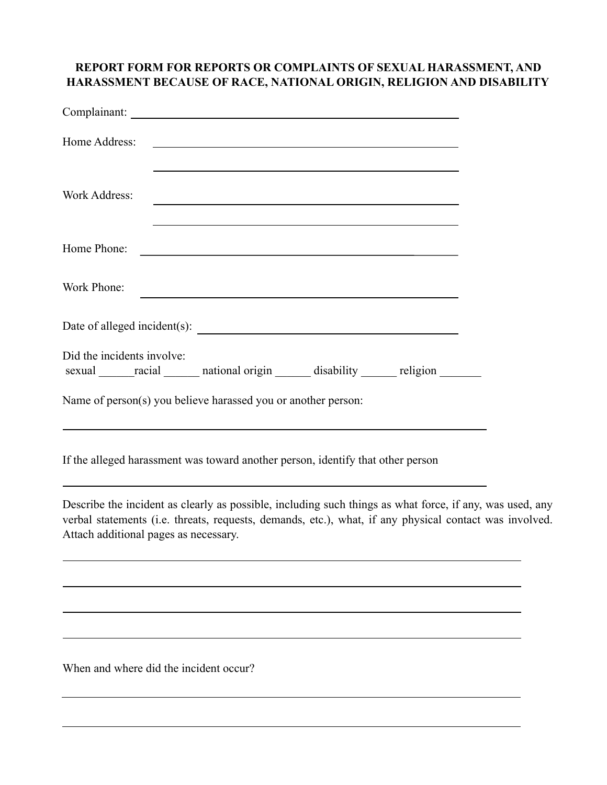## **REPORT FORM FOR REPORTS OR COMPLAINTS OF SEXUAL HARASSMENT, AND HARASSMENT BECAUSE OF RACE, NATIONAL ORIGIN, RELIGION AND DISABILITY**

| Home Address:<br>and the control of the control of the control of the control of the control of the control of the control of the<br>and the control of the control of the control of the control of the control of the control of the control of the       |  |
|-------------------------------------------------------------------------------------------------------------------------------------------------------------------------------------------------------------------------------------------------------------|--|
| <b>Work Address:</b>                                                                                                                                                                                                                                        |  |
| Home Phone:<br><u> 1989 - Johann Stoff, deutscher Stoffen und der Stoffen und der Stoffen und der Stoffen und der Stoffen und d</u>                                                                                                                         |  |
| Work Phone:                                                                                                                                                                                                                                                 |  |
|                                                                                                                                                                                                                                                             |  |
| Did the incidents involve:<br>sexual racial national origin disability religion                                                                                                                                                                             |  |
| Name of person(s) you believe harassed you or another person:<br>,我们也不会有什么。""我们的人,我们也不会有什么?""我们的人,我们也不会有什么?""我们的人,我们也不会有什么?""我们的人,我们也不会有什么?""我们的人                                                                                                           |  |
| If the alleged harassment was toward another person, identify that other person                                                                                                                                                                             |  |
| Describe the incident as clearly as possible, including such things as what force, if any, was used, any<br>verbal statements (i.e. threats, requests, demands, etc.), what, if any physical contact was involved.<br>Attach additional pages as necessary. |  |
|                                                                                                                                                                                                                                                             |  |
|                                                                                                                                                                                                                                                             |  |
|                                                                                                                                                                                                                                                             |  |

When and where did the incident occur?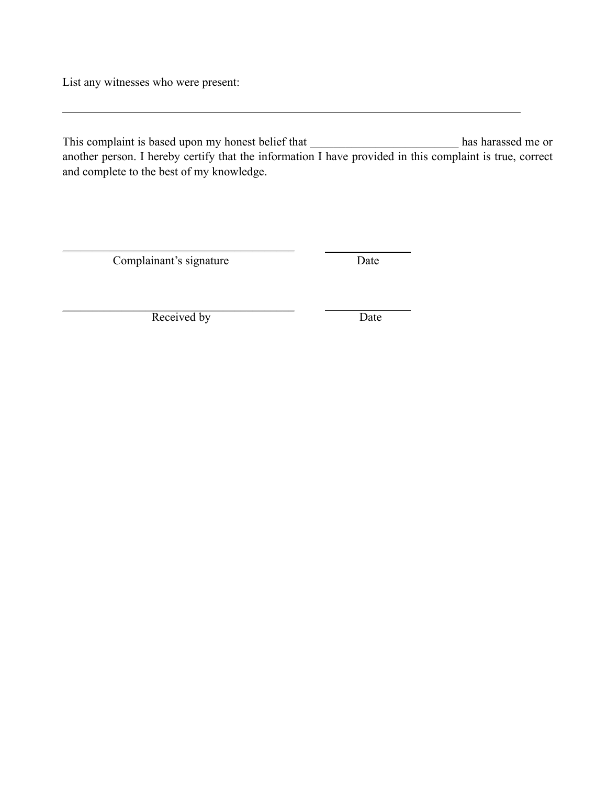List any witnesses who were present:

This complaint is based upon my honest belief that another person. I hereby certify that the information I have provided in this complaint is true, correct List any witnesses who were present: This complaint is based upon my honest belief that \_\_\_\_\_\_\_\_\_\_\_\_\_\_\_\_\_\_\_\_\_\_\_\_\_ has harassed me or and complete to the best of my knowledge.

Complainant's signature Date

\_\_\_\_\_\_\_\_\_\_\_\_\_\_\_\_\_\_\_\_\_\_\_\_\_\_\_\_\_\_\_\_\_\_\_\_\_\_\_

\_\_\_\_\_\_\_\_\_\_\_\_\_\_\_\_\_\_\_\_\_\_\_\_\_\_\_\_\_\_\_\_\_\_\_\_\_\_\_ Received by Date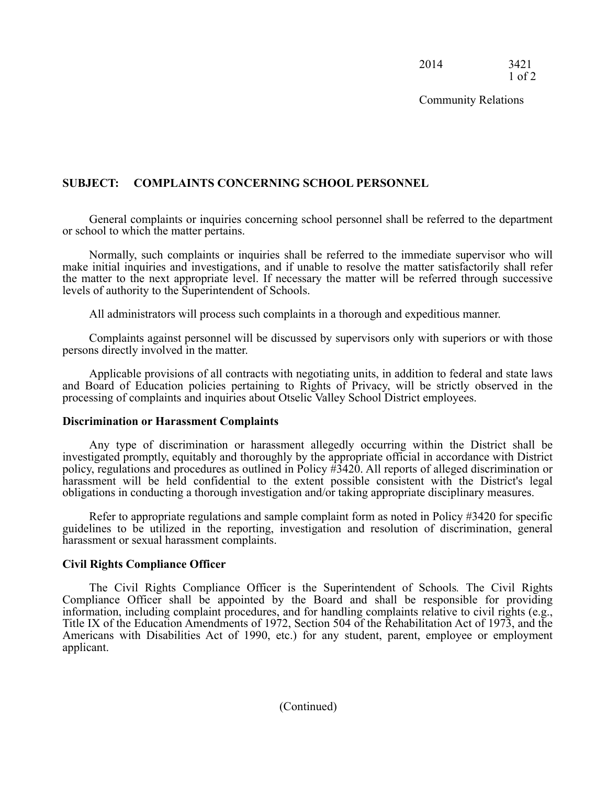2014 3421 1 of 2

Community Relations

## **SUBJECT: COMPLAINTS CONCERNING SCHOOL PERSONNEL**

 General complaints or inquiries concerning school personnel shall be referred to the department or school to which the matter pertains.

 Normally, such complaints or inquiries shall be referred to the immediate supervisor who will make initial inquiries and investigations, and if unable to resolve the matter satisfactorily shall refer the matter to the next appropriate level. If necessary the matter will be referred through successive levels of authority to the Superintendent of Schools.

All administrators will process such complaints in a thorough and expeditious manner.

 Complaints against personnel will be discussed by supervisors only with superiors or with those persons directly involved in the matter.

 Applicable provisions of all contracts with negotiating units, in addition to federal and state laws and Board of Education policies pertaining to Rights of Privacy, will be strictly observed in the processing of complaints and inquiries about Otselic Valley School District employees.

#### **Discrimination or Harassment Complaints**

 Any type of discrimination or harassment allegedly occurring within the District shall be investigated promptly, equitably and thoroughly by the appropriate official in accordance with District policy, regulations and procedures as outlined in Policy #3420. All reports of alleged discrimination or harassment will be held confidential to the extent possible consistent with the District's legal obligations in conducting a thorough investigation and/or taking appropriate disciplinary measures.

 Refer to appropriate regulations and sample complaint form as noted in Policy #3420 for specific guidelines to be utilized in the reporting, investigation and resolution of discrimination, general harassment or sexual harassment complaints.

#### **Civil Rights Compliance Officer**

 The Civil Rights Compliance Officer is the Superintendent of Schools*.* The Civil Rights Compliance Officer shall be appointed by the Board and shall be responsible for providing Americans with Disabilities Act of 1990, etc.) for any student, parent, employee or employment information, including complaint procedures, and for handling complaints relative to civil rights (e.g., Title IX of the Education Amendments of 1972, Section 504 of the Rehabilitation Act of 1973, and the applicant.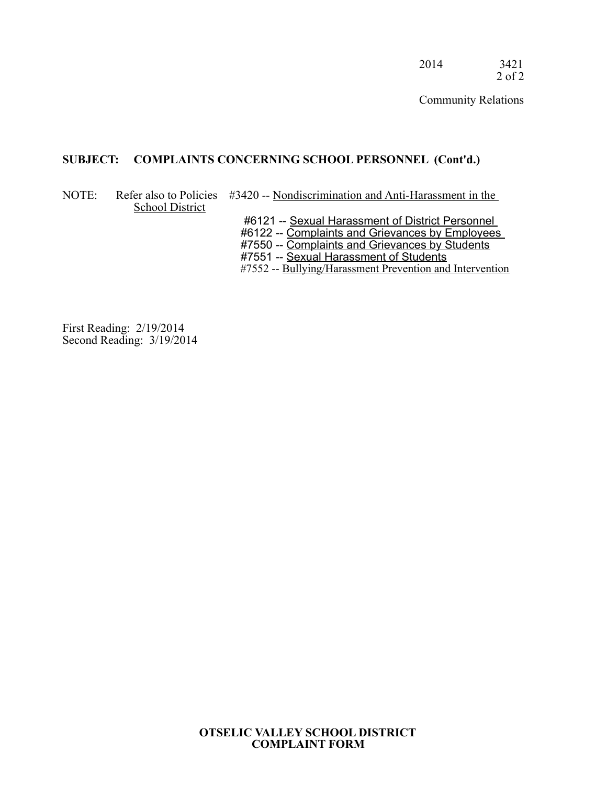2014 3421 2 of 2

Community Relations

#### **SUBJECT: COMPLAINTS CONCERNING SCHOOL PERSONNEL (Cont'd.)**

#### NOTE: Refer also to Policies #3420 -- Nondiscrimination and Anti-Harassment in the School District

#6121 -- Sexual Harassment of District Personnel

#6122 -- Complaints and Grievances by Employees

#7550 -- Complaints and Grievances by Students

#7551 -- Sexual Harassment of Students

#7552 -- Bullying/Harassment Prevention and Intervention

First Reading: 2/19/2014 Second Reading: 3/19/2014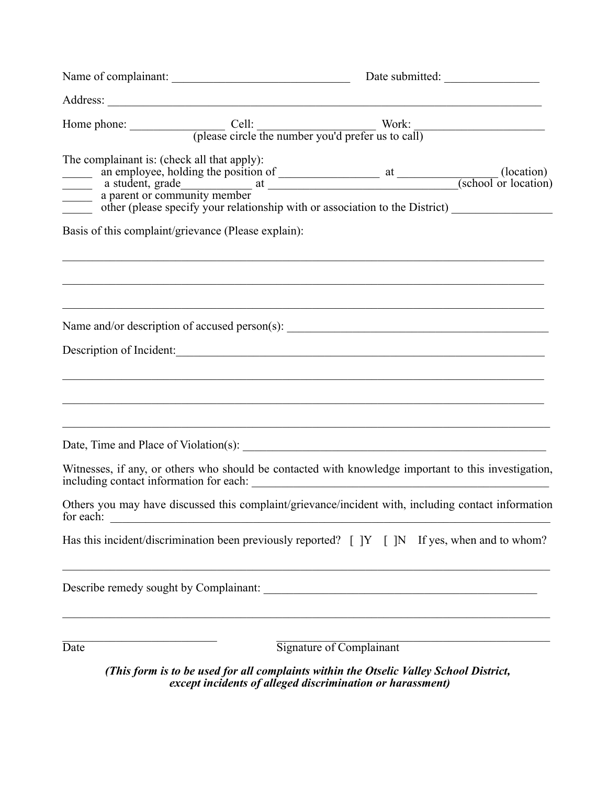| The complainant is: (check all that apply):<br>an employee, holding the position of<br>a student, grade a parent or community member<br>a parent or community member<br>defined by the contract of the District of the District of the District of the District of the District of |                                                                                                                                                                                                           |                          |                                                                                                      |
|------------------------------------------------------------------------------------------------------------------------------------------------------------------------------------------------------------------------------------------------------------------------------------|-----------------------------------------------------------------------------------------------------------------------------------------------------------------------------------------------------------|--------------------------|------------------------------------------------------------------------------------------------------|
| Basis of this complaint/grievance (Please explain):                                                                                                                                                                                                                                | <u> 1999 - Johann Stoff, deutscher Stoffen und der Stoffen und der Stoffen und der Stoffen und der Stoffen und der S</u>                                                                                  |                          |                                                                                                      |
|                                                                                                                                                                                                                                                                                    | <u> 2000 - 2000 - 2000 - 2000 - 2000 - 2000 - 2000 - 2000 - 2000 - 2000 - 2000 - 2000 - 2000 - 2000 - 2000 - 200</u><br>Name and/or description of accused person(s): ___________________________________ |                          |                                                                                                      |
|                                                                                                                                                                                                                                                                                    | Description of Incident:                                                                                                                                                                                  |                          |                                                                                                      |
|                                                                                                                                                                                                                                                                                    | <u> 1999 - Johann John Barn, fransk politik (f. 1989)</u>                                                                                                                                                 |                          |                                                                                                      |
|                                                                                                                                                                                                                                                                                    |                                                                                                                                                                                                           |                          |                                                                                                      |
|                                                                                                                                                                                                                                                                                    | including contact information for each:                                                                                                                                                                   |                          | Witnesses, if any, or others who should be contacted with knowledge important to this investigation, |
| for each:                                                                                                                                                                                                                                                                          |                                                                                                                                                                                                           |                          | Others you may have discussed this complaint/grievance/incident with, including contact information  |
|                                                                                                                                                                                                                                                                                    | Has this incident/discrimination been previously reported? [ ]Y [ ]N If yes, when and to whom?                                                                                                            |                          |                                                                                                      |
| Describe remedy sought by Complainant:                                                                                                                                                                                                                                             |                                                                                                                                                                                                           |                          |                                                                                                      |
| Date                                                                                                                                                                                                                                                                               |                                                                                                                                                                                                           | Signature of Complainant |                                                                                                      |

*(This form is to be used for all complaints within the Otselic Valley School District, except incidents of alleged discrimination or harassment)*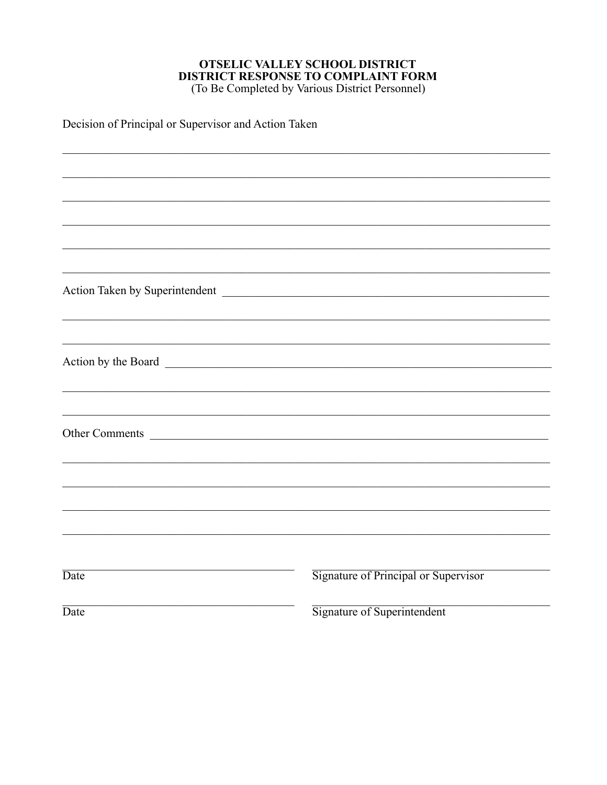# **OTSELIC VALLEY SCHOOL DISTRICT<br>DISTRICT RESPONSE TO COMPLAINT FORM**<br>(To Be Completed by Various District Personnel)

Decision of Principal or Supervisor and Action Taken

| Other Comments |                                      |
|----------------|--------------------------------------|
|                |                                      |
|                |                                      |
|                |                                      |
|                |                                      |
|                |                                      |
|                |                                      |
| Date           | Signature of Principal or Supervisor |
| Date           | Signature of Superintendent          |
|                |                                      |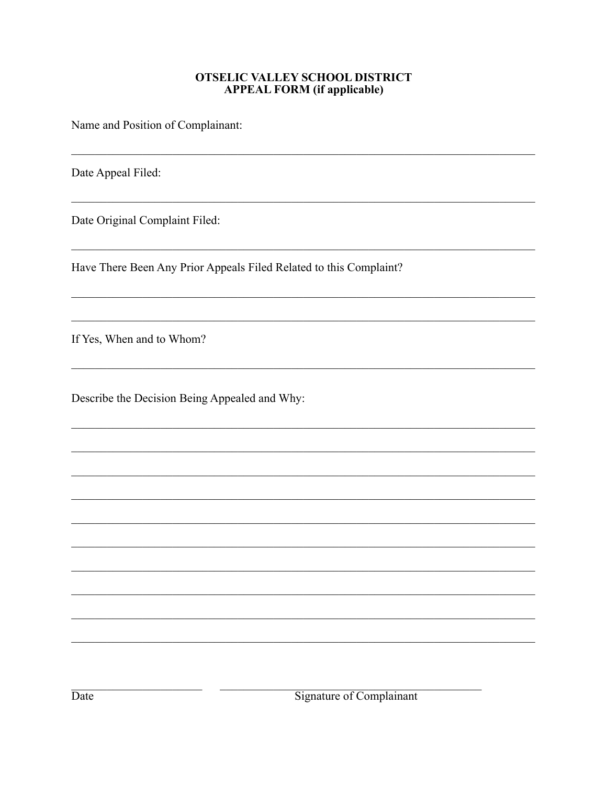#### **OTSELIC VALLEY SCHOOL DISTRICT APPEAL FORM** (if applicable)

Name and Position of Complainant:

Date Appeal Filed:

Date Original Complaint Filed:

Have There Been Any Prior Appeals Filed Related to this Complaint?

If Yes, When and to Whom?

Describe the Decision Being Appealed and Why: